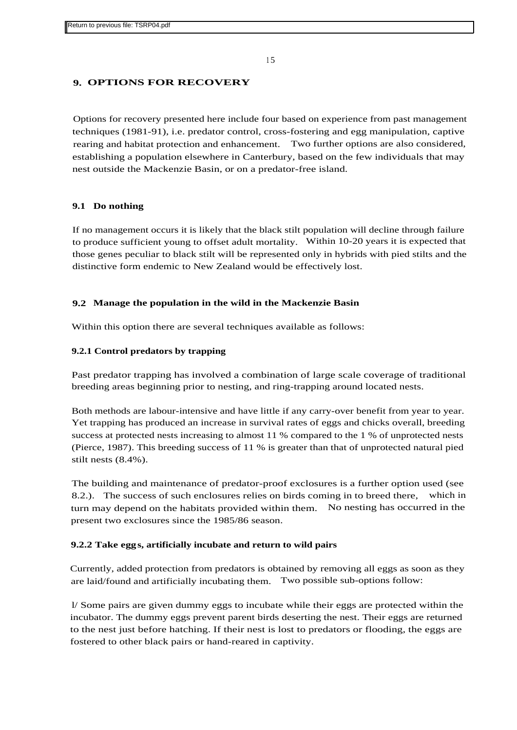<sup>1</sup> 5

# **9. OPTIONS FOR RECOVERY**

Options for recovery presented here include four based on experience from past management techniques (1981-91), i.e. predator control, cross-fostering and egg manipulation, captive rearing and habitat protection and enhancement. Two further options are also considered, establishing a population elsewhere in Canterbury, based on the few individuals that may nest outside the Mackenzie Basin, or on a predator-free island.

# **9.1 Do nothing**

If no management occurs it is likely that the black stilt population will decline through failure to produce sufficient young to offset adult mortality. Within 10-20 years it is expected that those genes peculiar to black stilt will be represented only in hybrids with pied stilts and the distinctive form endemic to New Zealand would be effectively lost.

# **9.2 Manage the population in the wild in the Mackenzie Basin**

Within this option there are several techniques available as follows:

# **9.2.1 Control predators by trapping**

Past predator trapping has involved a combination of large scale coverage of traditional breeding areas beginning prior to nesting, and ring-trapping around located nests.

Both methods are labour-intensive and have little if any carry-over benefit from year to year. Yet trapping has produced an increase in survival rates of eggs and chicks overall, breeding success at protected nests increasing to almost 11 % compared to the 1 % of unprotected nests (Pierce, 1987). This breeding success of 11 % is greater than that of unprotected natural pied stilt nests (8.4%).

The building and maintenance of predator-proof exclosures is a further option used (see 8.2.). The success of such enclosures relies on birds coming in to breed there, which in turn may depend on the habitats provided within them. No nesting has occurred in the present two exclosures since the 1985/86 season.

# **9.2.2 Take eggs, artificially incubate and return to wild pairs**

Currently, added protection from predators is obtained by removing all eggs as soon as they are laid/found and artificially incubating them. Two possible sub-options follow:

l/ Some pairs are given dummy eggs to incubate while their eggs are protected within the incubator. The dummy eggs prevent parent birds deserting the nest. Their eggs are returned to the nest just before hatching. If their nest is lost to predators or flooding, the eggs are fostered to other black pairs or hand-reared in captivity.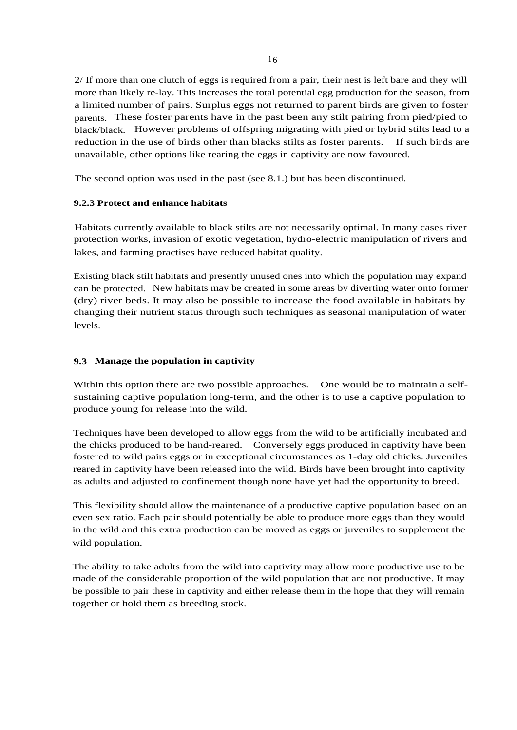2/ If more than one clutch of eggs is required from a pair, their nest is left bare and they will more than likely re-lay. This increases the total potential egg production for the season, from a limited number of pairs. Surplus eggs not returned to parent birds are given to foster parents. These foster parents have in the past been any stilt pairing from pied/pied to black/black. However problems of offspring migrating with pied or hybrid stilts lead to a reduction in the use of birds other than blacks stilts as foster parents. If such birds are unavailable, other options like rearing the eggs in captivity are now favoured.

The second option was used in the past (see 8.1.) but has been discontinued.

# **9.2.3 Protect and enhance habitats**

Habitats currently available to black stilts are not necessarily optimal. In many cases river protection works, invasion of exotic vegetation, hydro-electric manipulation of rivers and lakes, and farming practises have reduced habitat quality.

Existing black stilt habitats and presently unused ones into which the population may expand can be protected. New habitats may be created in some areas by diverting water onto former (dry) river beds. It may also be possible to increase the food available in habitats by changing their nutrient status through such techniques as seasonal manipulation of water levels.

# **9.3 Manage the population in captivity**

Within this option there are two possible approaches. One would be to maintain a selfsustaining captive population long-term, and the other is to use a captive population to produce young for release into the wild.

Techniques have been developed to allow eggs from the wild to be artificially incubated and the chicks produced to be hand-reared. Conversely eggs produced in captivity have been fostered to wild pairs eggs or in exceptional circumstances as 1-day old chicks. Juveniles reared in captivity have been released into the wild. Birds have been brought into captivity as adults and adjusted to confinement though none have yet had the opportunity to breed.

This flexibility should allow the maintenance of a productive captive population based on an even sex ratio. Each pair should potentially be able to produce more eggs than they would in the wild and this extra production can be moved as eggs or juveniles to supplement the wild population.

The ability to take adults from the wild into captivity may allow more productive use to be made of the considerable proportion of the wild population that are not productive. It may be possible to pair these in captivity and either release them in the hope that they will remain together or hold them as breeding stock.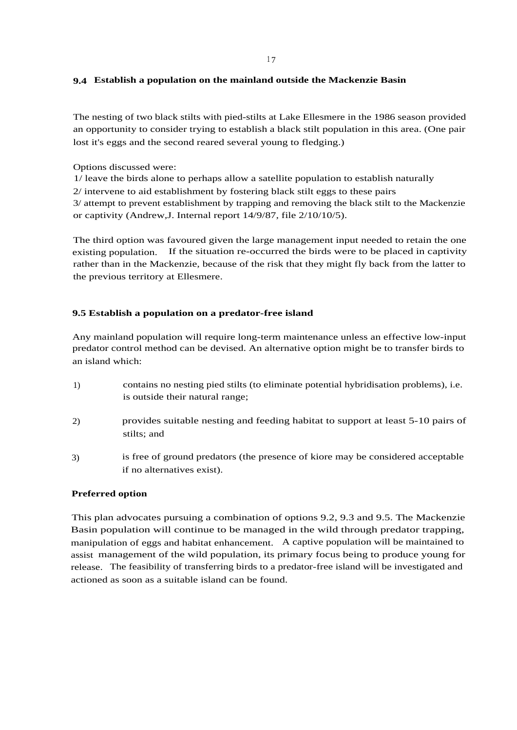#### **9.4 Establish a population on the mainland outside the Mackenzie Basin**

The nesting of two black stilts with pied-stilts at Lake Ellesmere in the 1986 season provided an opportunity to consider trying to establish a black stilt population in this area. (One pair lost it's eggs and the second reared several young to fledging.)

Options discussed were:

1/ leave the birds alone to perhaps allow a satellite population to establish naturally

2/ intervene to aid establishment by fostering black stilt eggs to these pairs

3/ attempt to prevent establishment by trapping and removing the black stilt to the Mackenzie or captivity (Andrew,J. Internal report 14/9/87, file 2/10/10/5).

The third option was favoured given the large management input needed to retain the one existing population. If the situation re-occurred the birds were to be placed in captivity rather than in the Mackenzie, because of the risk that they might fly back from the latter to the previous territory at Ellesmere.

# **9.5 Establish a population on a predator-free island**

Any mainland population will require long-term maintenance unless an effective low-input predator control method can be devised. An alternative option might be to transfer birds to an island which:

- 1) contains no nesting pied stilts (to eliminate potential hybridisation problems), i.e. is outside their natural range;
- 2) provides suitable nesting and feeding habitat to support at least 5-10 pairs of stilts; and
- 3) is free of ground predators (the presence of kiore may be considered acceptable if no alternatives exist).

# **Preferred option**

This plan advocates pursuing a combination of options 9.2, 9.3 and 9.5. The Mackenzie Basin population will continue to be managed in the wild through predator trapping, manipulation of eggs and habitat enhancement. A captive population will be maintained to assist management of the wild population, its primary focus being to produce young for release. The feasibility of transferring birds to a predator-free island will be investigated and actioned as soon as a suitable island can be found.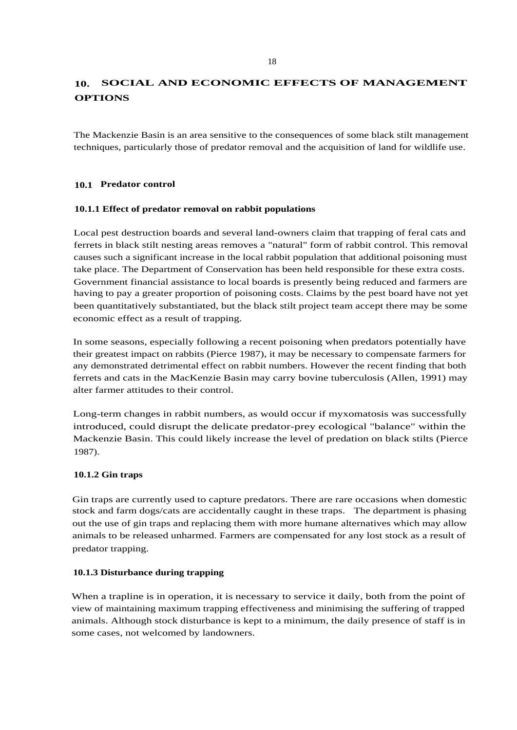# **10. SOCIAL AND ECONOMIC EFFECTS OF MANAGEMENT OPTIONS**

The Mackenzie Basin is an area sensitive to the consequences of some black stilt management techniques, particularly those of predator removal and the acquisition of land for wildlife use.

# **10.1 Predator control**

# **10.1.1 Effect of predator removal on rabbit populations**

Local pest destruction boards and several land-owners claim that trapping of feral cats and ferrets in black stilt nesting areas removes a "natural" form of rabbit control. This removal causes such a significant increase in the local rabbit population that additional poisoning must take place. The Department of Conservation has been held responsible for these extra costs. Government financial assistance to local boards is presently being reduced and farmers are having to pay a greater proportion of poisoning costs. Claims by the pest board have not yet been quantitatively substantiated, but the black stilt project team accept there may be some economic effect as a result of trapping.

In some seasons, especially following a recent poisoning when predators potentially have their greatest impact on rabbits (Pierce 1987), it may be necessary to compensate farmers for any demonstrated detrimental effect on rabbit numbers. However the recent finding that both ferrets and cats in the MacKenzie Basin may carry bovine tuberculosis (Allen, 1991) may alter farmer attitudes to their control.

Long-term changes in rabbit numbers, as would occur if myxomatosis was successfully introduced, could disrupt the delicate predator-prey ecological "balance" within the Mackenzie Basin. This could likely increase the level of predation on black stilts (Pierce 1987).

# **10.1.2 Gin traps**

Gin traps are currently used to capture predators. There are rare occasions when domestic stock and farm dogs/cats are accidentally caught in these traps. The department is phasing out the use of gin traps and replacing them with more humane alternatives which may allow animals to be released unharmed. Farmers are compensated for any lost stock as a result of predator trapping.

# **10.1.3 Disturbance during trapping**

When a trapline is in operation, it is necessary to service it daily, both from the point of view of maintaining maximum trapping effectiveness and minimising the suffering of trapped animals. Although stock disturbance is kept to a minimum, the daily presence of staff is in some cases, not welcomed by landowners.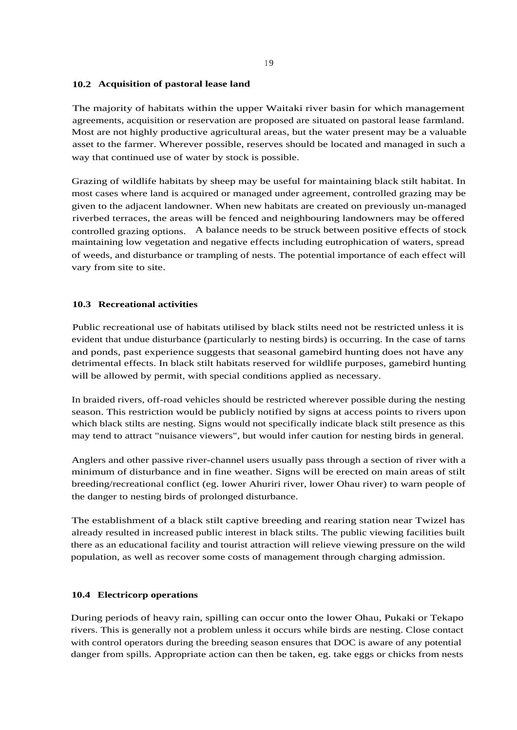#### **10.2 Acquisition of pastoral lease land**

The majority of habitats within the upper Waitaki river basin for which management agreements, acquisition or reservation are proposed are situated on pastoral lease farmland. Most are not highly productive agricultural areas, but the water present may be a valuable asset to the farmer. Wherever possible, reserves should be located and managed in such a way that continued use of water by stock is possible.

Grazing of wildlife habitats by sheep may be useful for maintaining black stilt habitat. In most cases where land is acquired or managed under agreement, controlled grazing may be given to the adjacent landowner. When new habitats are created on previously un-managed riverbed terraces, the areas will be fenced and neighbouring landowners may be offered controlled grazing options. A balance needs to be struck between positive effects of stock maintaining low vegetation and negative effects including eutrophication of waters, spread of weeds, and disturbance or trampling of nests. The potential importance of each effect will vary from site to site.

#### **10.3 Recreational activities**

Public recreational use of habitats utilised by black stilts need not be restricted unless it is evident that undue disturbance (particularly to nesting birds) is occurring. In the case of tarns and ponds, past experience suggests that seasonal gamebird hunting does not have any detrimental effects. In black stilt habitats reserved for wildlife purposes, gamebird hunting will be allowed by permit, with special conditions applied as necessary.

In braided rivers, off-road vehicles should be restricted wherever possible during the nesting season. This restriction would be publicly notified by signs at access points to rivers upon which black stilts are nesting. Signs would not specifically indicate black stilt presence as this may tend to attract "nuisance viewers", but would infer caution for nesting birds in general.

Anglers and other passive river-channel users usually pass through a section of river with a minimum of disturbance and in fine weather. Signs will be erected on main areas of stilt breeding/recreational conflict (eg. lower Ahuriri river, lower Ohau river) to warn people of the danger to nesting birds of prolonged disturbance.

The establishment of a black stilt captive breeding and rearing station near Twizel has already resulted in increased public interest in black stilts. The public viewing facilities built there as an educational facility and tourist attraction will relieve viewing pressure on the wild population, as well as recover some costs of management through charging admission.

#### **10.4 Electricorp operations**

During periods of heavy rain, spilling can occur onto the lower Ohau, Pukaki or Tekapo rivers. This is generally not a problem unless it occurs while birds are nesting. Close contact with control operators during the breeding season ensures that DOC is aware of any potential danger from spills. Appropriate action can then be taken, eg. take eggs or chicks from nests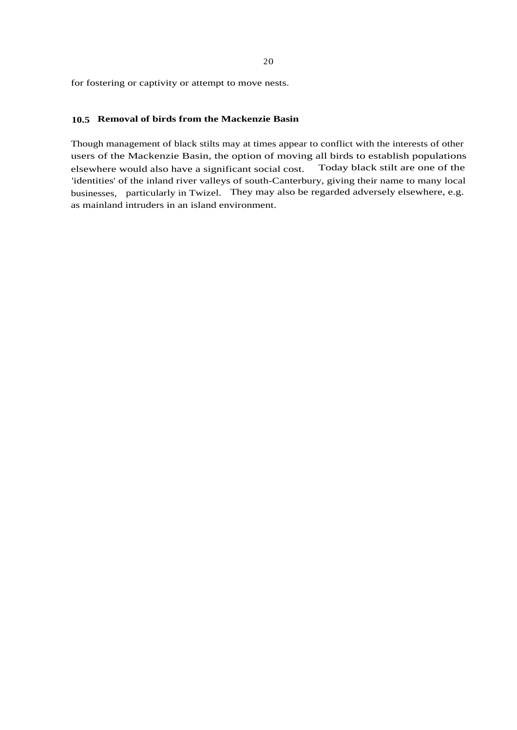for fostering or captivity or attempt to move nests.

#### **10.5 Removal of birds from the Mackenzie Basin**

Though management of black stilts may at times appear to conflict with the interests of other users of the Mackenzie Basin, the option of moving all birds to establish populations elsewhere would also have a significant social cost. Today black stilt are one of the 'identities' of the inland river valleys of south-Canterbury, giving their name to many local businesses, particularly in Twizel. They may also be regarded adversely elsewhere, e.g. as mainland intruders in an island environment.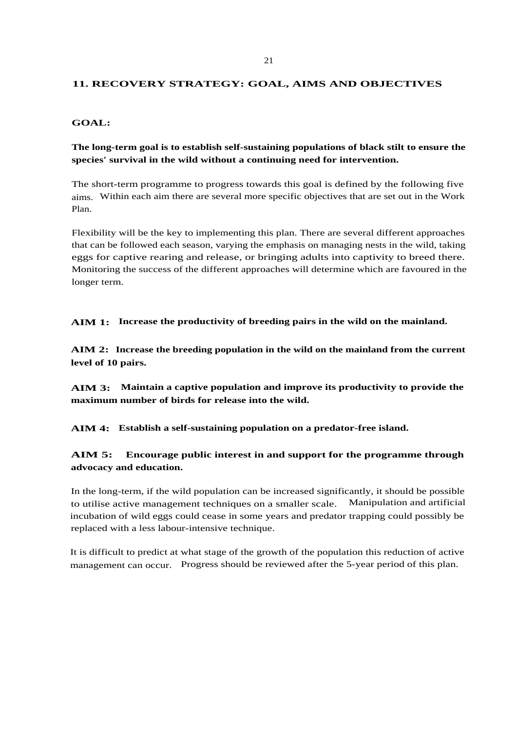#### **11. RECOVERY STRATEGY: GOAL, AIMS AND OBJECTIVES**

#### **GOAL:**

# **The long-term goal is to establish self-sustaining populations of black stilt to ensure the species' survival in the wild without a continuing need for intervention.**

The short-term programme to progress towards this goal is defined by the following five aims. Within each aim there are several more specific objectives that are set out in the Work Plan.

Flexibility will be the key to implementing this plan. There are several different approaches that can be followed each season, varying the emphasis on managing nests in the wild, taking eggs for captive rearing and release, or bringing adults into captivity to breed there. Monitoring the success of the different approaches will determine which are favoured in the longer term.

**AIM 1: Increase the productivity of breeding pairs in the wild on the mainland.**

**AIM 2: Increase the breeding population in the wild on the mainland from the current level of 10 pairs.**

**AIM 3: Maintain a captive population and improve its productivity to provide the maximum number of birds for release into the wild.**

**AIM 4: Establish a self-sustaining population on a predator-free island.**

**AIM 5: Encourage public interest in and support for the programme through advocacy and education.**

In the long-term, if the wild population can be increased significantly, it should be possible to utilise active management techniques on a smaller scale. Manipulation and artificial incubation of wild eggs could cease in some years and predator trapping could possibly be replaced with a less labour-intensive technique.

It is difficult to predict at what stage of the growth of the population this reduction of active management can occur. Progress should be reviewed after the 5-year period of this plan.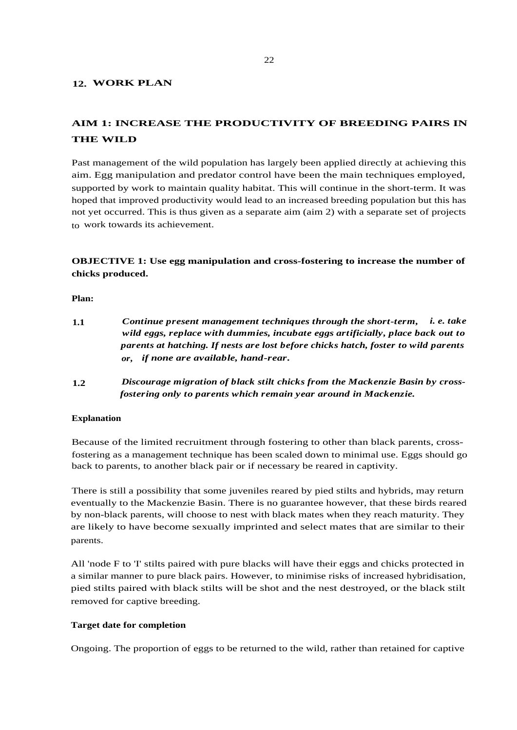#### **12. WORK PLAN**

# **AIM 1: INCREASE THE PRODUCTIVITY OF BREEDING PAIRS IN THE WILD**

Past management of the wild population has largely been applied directly at achieving this aim. Egg manipulation and predator control have been the main techniques employed, supported by work to maintain quality habitat. This will continue in the short-term. It was hoped that improved productivity would lead to an increased breeding population but this has not yet occurred. This is thus given as a separate aim (aim 2) with a separate set of projects to work towards its achievement.

# **OBJECTIVE 1: Use egg manipulation and cross-fostering to increase the number of chicks produced.**

**Plan:**

| 1.1 | Continue present management techniques through the short-term, i. e. take          |
|-----|------------------------------------------------------------------------------------|
|     | wild eggs, replace with dummies, incubate eggs artificially, place back out to     |
|     | parents at hatching. If nests are lost before chicks hatch, foster to wild parents |
|     | or, if none are available, hand-rear.                                              |

**1.2** *Discourage migration of black stilt chicks from the Mackenzie Basin by crossfostering only to parents which remain year around in Mackenzie.*

#### **Explanation**

Because of the limited recruitment through fostering to other than black parents, crossfostering as a management technique has been scaled down to minimal use. Eggs should go back to parents, to another black pair or if necessary be reared in captivity.

There is still a possibility that some juveniles reared by pied stilts and hybrids, may return eventually to the Mackenzie Basin. There is no guarantee however, that these birds reared by non-black parents, will choose to nest with black mates when they reach maturity. They are likely to have become sexually imprinted and select mates that are similar to their parents.

All 'node F to 'I' stilts paired with pure blacks will have their eggs and chicks protected in a similar manner to pure black pairs. However, to minimise risks of increased hybridisation, pied stilts paired with black stilts will be shot and the nest destroyed, or the black stilt removed for captive breeding.

#### **Target date for completion**

Ongoing. The proportion of eggs to be returned to the wild, rather than retained for captive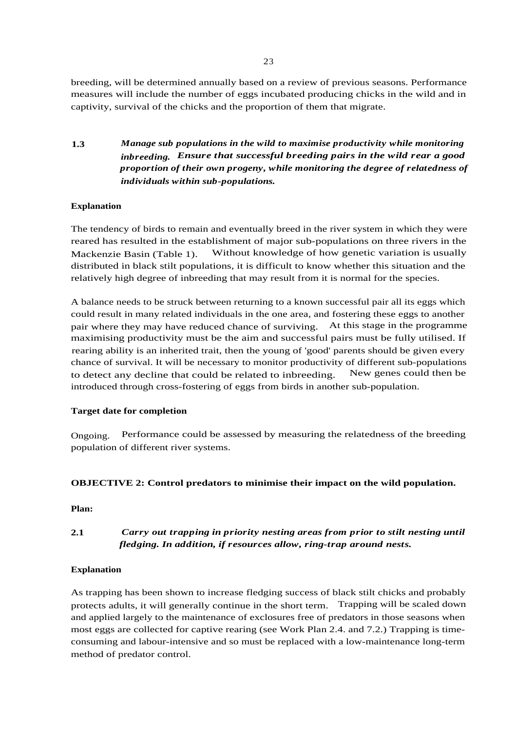breeding, will be determined annually based on a review of previous seasons. Performance measures will include the number of eggs incubated producing chicks in the wild and in captivity, survival of the chicks and the proportion of them that migrate.

**1.3** *Manage sub populations in the wild to maximise productivity while monitoring inbreeding. Ensure that successful breeding pairs in the wild rear a good proportion of their own progeny, while monitoring the degree of relatedness of individuals within sub-populations.*

# **Explanation**

The tendency of birds to remain and eventually breed in the river system in which they were reared has resulted in the establishment of major sub-populations on three rivers in the Mackenzie Basin (Table 1). Without knowledge of how genetic variation is usually distributed in black stilt populations, it is difficult to know whether this situation and the relatively high degree of inbreeding that may result from it is normal for the species.

A balance needs to be struck between returning to a known successful pair all its eggs which could result in many related individuals in the one area, and fostering these eggs to another pair where they may have reduced chance of surviving. At this stage in the programme maximising productivity must be the aim and successful pairs must be fully utilised. If rearing ability is an inherited trait, then the young of 'good' parents should be given every chance of survival. It will be necessary to monitor productivity of different sub-populations to detect any decline that could be related to inbreeding. New genes could then be introduced through cross-fostering of eggs from birds in another sub-population.

# **Target date for completion**

Ongoing. Performance could be assessed by measuring the relatedness of the breeding population of different river systems.

# **OBJECTIVE 2: Control predators to minimise their impact on the wild population.**

**Plan:**

# **2.1** *Carry out trapping in priority nesting areas from prior to stilt nesting until fledging. In addition, if resources allow, ring-trap around nests.*

# **Explanation**

As trapping has been shown to increase fledging success of black stilt chicks and probably protects adults, it will generally continue in the short term. Trapping will be scaled down and applied largely to the maintenance of exclosures free of predators in those seasons when most eggs are collected for captive rearing (see Work Plan 2.4. and 7.2.) Trapping is timeconsuming and labour-intensive and so must be replaced with a low-maintenance long-term method of predator control.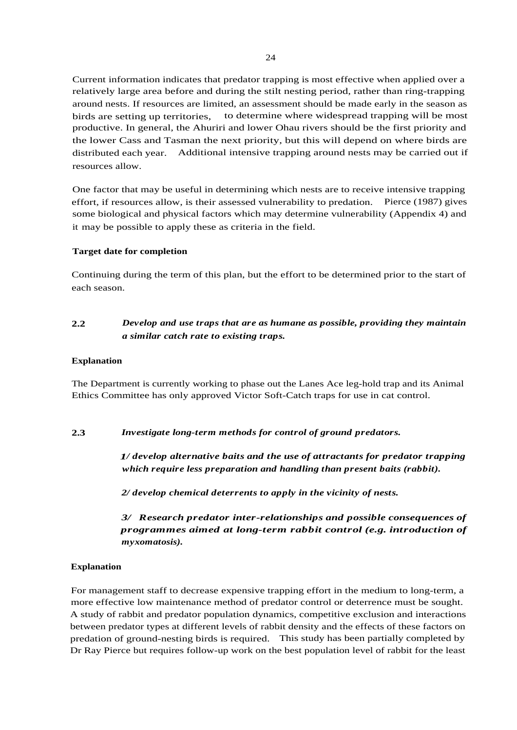Current information indicates that predator trapping is most effective when applied over a relatively large area before and during the stilt nesting period, rather than ring-trapping around nests. If resources are limited, an assessment should be made early in the season as birds are setting up territories, to determine where widespread trapping will be most productive. In general, the Ahuriri and lower Ohau rivers should be the first priority and the lower Cass and Tasman the next priority, but this will depend on where birds are distributed each year. Additional intensive trapping around nests may be carried out if resources allow.

One factor that may be useful in determining which nests are to receive intensive trapping effort, if resources allow, is their assessed vulnerability to predation. Pierce (1987) gives some biological and physical factors which may determine vulnerability (Appendix 4) and it may be possible to apply these as criteria in the field.

#### **Target date for completion**

Continuing during the term of this plan, but the effort to be determined prior to the start of each season.

# **2.2** *Develop and use traps that are as humane as possible, providing they maintain a similar catch rate to existing traps.*

#### **Explanation**

The Department is currently working to phase out the Lanes Ace leg-hold trap and its Animal Ethics Committee has only approved Victor Soft-Catch traps for use in cat control.

**2.3** *Investigate long-term methods for control of ground predators.*

*1/ develop alternative baits and the use of attractants for predator trapping which require less preparation and handling than present baits (rabbit).*

*2/ develop chemical deterrents to apply in the vicinity of nests.*

*3/ Research predator inter-relationships and possible consequences of programmes aimed at long-term rabbit control (e.g. introduction of myxomatosis).*

#### **Explanation**

For management staff to decrease expensive trapping effort in the medium to long-term, a more effective low maintenance method of predator control or deterrence must be sought. A study of rabbit and predator population dynamics, competitive exclusion and interactions between predator types at different levels of rabbit density and the effects of these factors on predation of ground-nesting birds is required. This study has been partially completed by Dr Ray Pierce but requires follow-up work on the best population level of rabbit for the least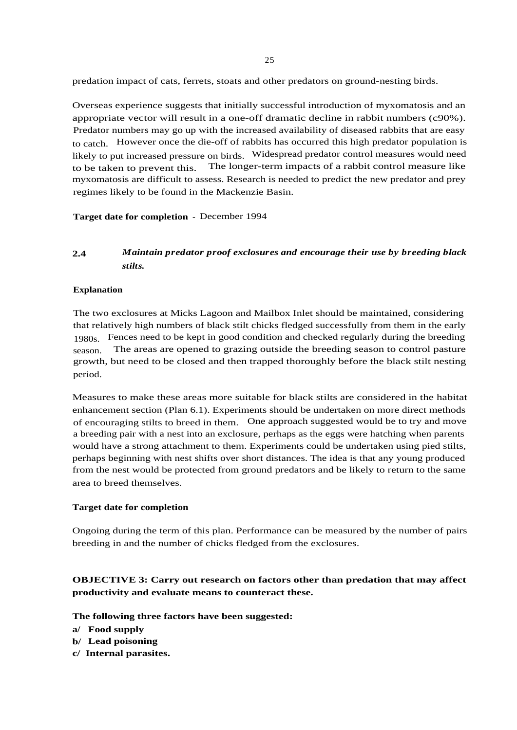25

predation impact of cats, ferrets, stoats and other predators on ground-nesting birds.

Overseas experience suggests that initially successful introduction of myxomatosis and an appropriate vector will result in a one-off dramatic decline in rabbit numbers (c90%). Predator numbers may go up with the increased availability of diseased rabbits that are easy to catch. However once the die-off of rabbits has occurred this high predator population is likely to put increased pressure on birds. Widespread predator control measures would need to be taken to prevent this. The longer-term impacts of a rabbit control measure like myxomatosis are difficult to assess. Research is needed to predict the new predator and prey regimes likely to be found in the Mackenzie Basin.

**Target date for completion** - December 1994

# **2.4** *Maintain predator proof exclosures and encourage their use by breeding black stilts.*

#### **Explanation**

The two exclosures at Micks Lagoon and Mailbox Inlet should be maintained, considering that relatively high numbers of black stilt chicks fledged successfully from them in the early 1980s. Fences need to be kept in good condition and checked regularly during the breeding season. The areas are opened to grazing outside the breeding season to control pasture growth, but need to be closed and then trapped thoroughly before the black stilt nesting period.

Measures to make these areas more suitable for black stilts are considered in the habitat enhancement section (Plan 6.1). Experiments should be undertaken on more direct methods of encouraging stilts to breed in them. One approach suggested would be to try and move a breeding pair with a nest into an exclosure, perhaps as the eggs were hatching when parents would have a strong attachment to them. Experiments could be undertaken using pied stilts, perhaps beginning with nest shifts over short distances. The idea is that any young produced from the nest would be protected from ground predators and be likely to return to the same area to breed themselves.

#### **Target date for completion**

Ongoing during the term of this plan. Performance can be measured by the number of pairs breeding in and the number of chicks fledged from the exclosures.

# **OBJECTIVE 3: Carry out research on factors other than predation that may affect productivity and evaluate means to counteract these.**

**The following three factors have been suggested:**

**a/ Food supply**

- **b/ Lead poisoning**
- **c/ Internal parasites.**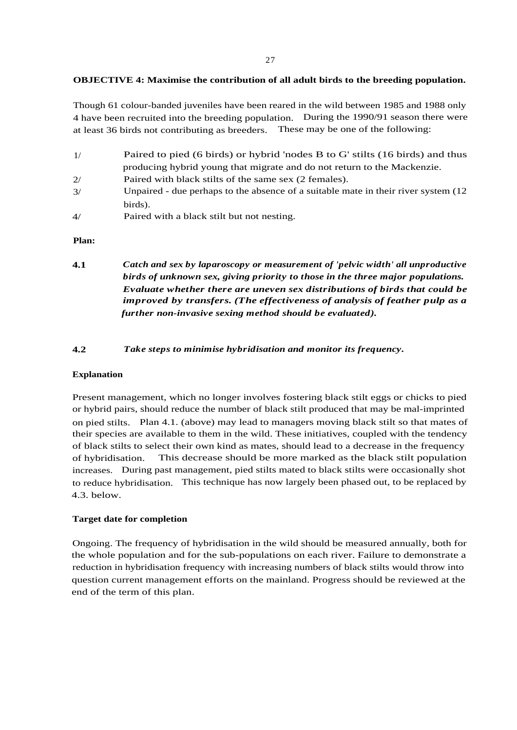#### **OBJECTIVE 4: Maximise the contribution of all adult birds to the breeding population.**

Though 61 colour-banded juveniles have been reared in the wild between 1985 and 1988 only 4 have been recruited into the breeding population. During the 1990/91 season there were at least 36 birds not contributing as breeders. These may be one of the following:

- 1/ Paired to pied (6 birds) or hybrid 'nodes B to G' stilts (16 birds) and thus producing hybrid young that migrate and do not return to the Mackenzie.
- 2/ Paired with black stilts of the same sex (2 females).
- 3/ Unpaired due perhaps to the absence of a suitable mate in their river system (12 birds).
- 4/ Paired with a black stilt but not nesting.

#### **Plan:**

- **4.1** *Catch and sex by laparoscopy or measurement of 'pelvic width' all unproductive birds of unknown sex, giving priority to those in the three major populations. Evaluate whether there are uneven sex distributions of birds that could be improved by transfers. (The effectiveness of analysis of feather pulp as a further non-invasive sexing method should be evaluated).*
- **4.2** *Take steps to minimise hybridisation and monitor its frequency.*

#### **Explanation**

Present management, which no longer involves fostering black stilt eggs or chicks to pied or hybrid pairs, should reduce the number of black stilt produced that may be mal-imprinted on pied stilts. Plan 4.1. (above) may lead to managers moving black stilt so that mates of their species are available to them in the wild. These initiatives, coupled with the tendency of black stilts to select their own kind as mates, should lead to a decrease in the frequency of hybridisation. This decrease should be more marked as the black stilt population increases. During past management, pied stilts mated to black stilts were occasionally shot to reduce hybridisation. This technique has now largely been phased out, to be replaced by 4.3. below.

#### **Target date for completion**

Ongoing. The frequency of hybridisation in the wild should be measured annually, both for the whole population and for the sub-populations on each river. Failure to demonstrate a reduction in hybridisation frequency with increasing numbers of black stilts would throw into question current management efforts on the mainland. Progress should be reviewed at the end of the term of this plan.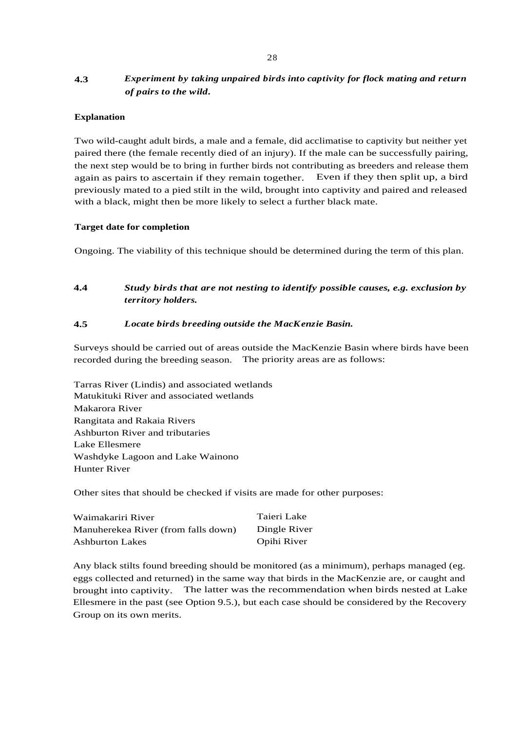# **4.3** *Experiment by taking unpaired birds into captivity for flock mating and return of pairs to the wild.*

#### **Explanation**

Two wild-caught adult birds, a male and a female, did acclimatise to captivity but neither yet paired there (the female recently died of an injury). If the male can be successfully pairing, the next step would be to bring in further birds not contributing as breeders and release them again as pairs to ascertain if they remain together. Even if they then split up, a bird previously mated to a pied stilt in the wild, brought into captivity and paired and released with a black, might then be more likely to select a further black mate.

#### **Target date for completion**

Ongoing. The viability of this technique should be determined during the term of this plan.

**4.4** *Study birds that are not nesting to identify possible causes, e.g. exclusion by territory holders.*

#### **4.5** *Locate birds breeding outside the MacKenzie Basin.*

Surveys should be carried out of areas outside the MacKenzie Basin where birds have been recorded during the breeding season. The priority areas are as follows:

Tarras River (Lindis) and associated wetlands Matukituki River and associated wetlands Makarora River Rangitata and Rakaia Rivers Ashburton River and tributaries Lake Ellesmere Washdyke Lagoon and Lake Wainono Hunter River

Other sites that should be checked if visits are made for other purposes:

| Waimakariri River                   | Taieri Lake  |
|-------------------------------------|--------------|
| Manuherekea River (from falls down) | Dingle River |
| <b>Ashburton Lakes</b>              | Opihi River  |

Any black stilts found breeding should be monitored (as a minimum), perhaps managed (eg. eggs collected and returned) in the same way that birds in the MacKenzie are, or caught and brought into captivity. The latter was the recommendation when birds nested at Lake Ellesmere in the past (see Option 9.5.), but each case should be considered by the Recovery Group on its own merits.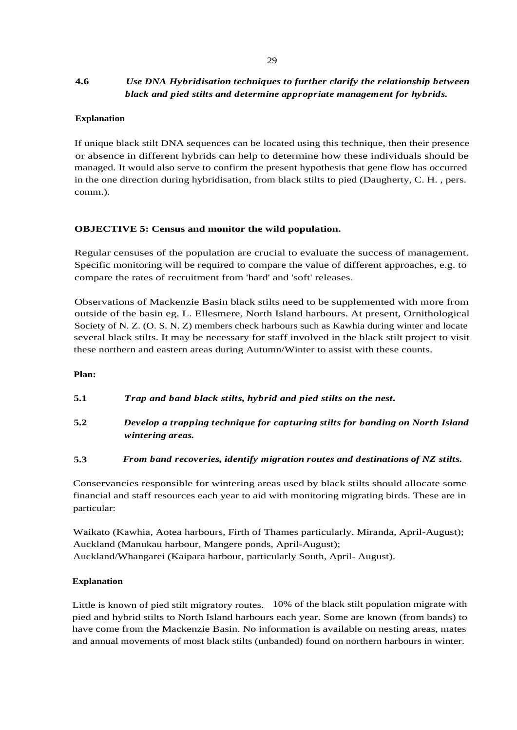# **4.6** *Use DNA Hybridisation techniques to further clarify the relationship between black and pied stilts and determine appropriate management for hybrids.*

# **Explanation**

If unique black stilt DNA sequences can be located using this technique, then their presence or absence in different hybrids can help to determine how these individuals should be managed. It would also serve to confirm the present hypothesis that gene flow has occurred in the one direction during hybridisation, from black stilts to pied (Daugherty, C. H. , pers. comm.).

# **OBJECTIVE 5: Census and monitor the wild population.**

Regular censuses of the population are crucial to evaluate the success of management. Specific monitoring will be required to compare the value of different approaches, e.g. to compare the rates of recruitment from 'hard' and 'soft' releases.

Observations of Mackenzie Basin black stilts need to be supplemented with more from outside of the basin eg. L. Ellesmere, North Island harbours. At present, Ornithological Society of N. Z. (O. S. N. Z) members check harbours such as Kawhia during winter and locate several black stilts. It may be necessary for staff involved in the black stilt project to visit these northern and eastern areas during Autumn/Winter to assist with these counts.

# **Plan:**

- **5.1** *Trap and band black stilts, hybrid and pied stilts on the nest.*
- **5.2** *Develop a trapping technique for capturing stilts for banding on North Island wintering areas.*

# **5.3** *From band recoveries, identify migration routes and destinations of NZ stilts.*

Conservancies responsible for wintering areas used by black stilts should allocate some financial and staff resources each year to aid with monitoring migrating birds. These are in particular:

Waikato (Kawhia, Aotea harbours, Firth of Thames particularly. Miranda, April-August); Auckland (Manukau harbour, Mangere ponds, April-August); Auckland/Whangarei (Kaipara harbour, particularly South, April- August).

# **Explanation**

Little is known of pied stilt migratory routes. 10% of the black stilt population migrate with pied and hybrid stilts to North Island harbours each year. Some are known (from bands) to have come from the Mackenzie Basin. No information is available on nesting areas, mates and annual movements of most black stilts (unbanded) found on northern harbours in winter.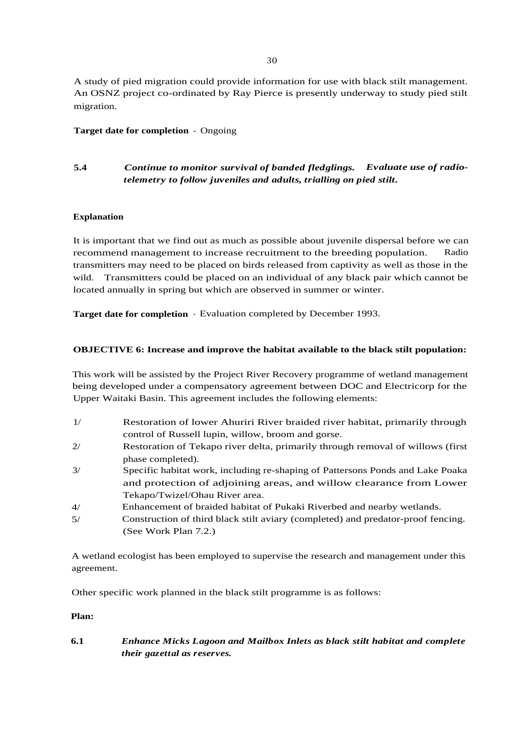A study of pied migration could provide information for use with black stilt management. An OSNZ project co-ordinated by Ray Pierce is presently underway to study pied stilt migration.

# **Target date for completion** - Ongoing

# **5.4** *Continue to monitor survival of banded fledglings. Evaluate use of radiotelemetry to follow juveniles and adults, trialling on pied stilt.*

# **Explanation**

It is important that we find out as much as possible about juvenile dispersal before we can recommend management to increase recruitment to the breeding population. Radio transmitters may need to be placed on birds released from captivity as well as those in the wild. Transmitters could be placed on an individual of any black pair which cannot be located annually in spring but which are observed in summer or winter.

**Target date for completion** - Evaluation completed by December 1993.

# **OBJECTIVE 6: Increase and improve the habitat available to the black stilt population:**

This work will be assisted by the Project River Recovery programme of wetland management being developed under a compensatory agreement between DOC and Electricorp for the Upper Waitaki Basin. This agreement includes the following elements:

- Restoration of lower Ahuriri River braided river habitat, primarily through control of Russell lupin, willow, broom and gorse. 1/
- Restoration of Tekapo river delta, primarily through removal of willows (first phase completed). 2/
- Specific habitat work, including re-shaping of Pattersons Ponds and Lake Poaka and protection of adjoining areas, and willow clearance from Lower Tekapo/Twizel/Ohau River area. 3/
- Enhancement of braided habitat of Pukaki Riverbed and nearby wetlands. 4/
- Construction of third black stilt aviary (completed) and predator-proof fencing. (See Work Plan 7.2.) 5/

A wetland ecologist has been employed to supervise the research and management under this agreement.

Other specific work planned in the black stilt programme is as follows:

#### **Plan:**

**6.1** *Enhance Micks Lagoon and Mailbox Inlets as black stilt habitat and complete their gazettal as reserves.*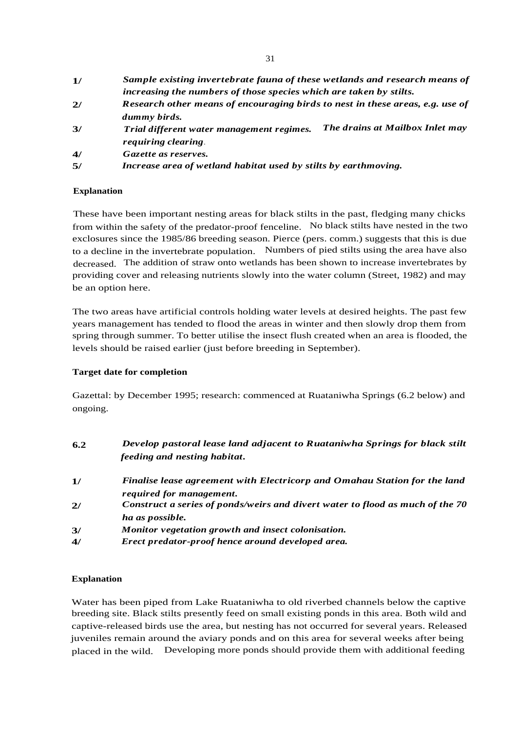| 1/ | Sample existing invertebrate fauna of these wetlands and research means of    |  |  |  |
|----|-------------------------------------------------------------------------------|--|--|--|
|    | increasing the numbers of those species which are taken by stilts.            |  |  |  |
| 2/ | Research other means of encouraging birds to nest in these areas, e.g. use of |  |  |  |
|    | dummy birds.                                                                  |  |  |  |
| 3/ | The drains at Mailbox Inlet may<br>Trial different water management regimes.  |  |  |  |
|    | requiring clearing.                                                           |  |  |  |
| 4/ | Gazette as reserves.                                                          |  |  |  |
| 5/ | Increase area of wetland habitat used by stilts by earthmoving.               |  |  |  |

# **Explanation**

These have been important nesting areas for black stilts in the past, fledging many chicks from within the safety of the predator-proof fenceline. No black stilts have nested in the two exclosures since the 1985/86 breeding season. Pierce (pers. comm.) suggests that this is due to a decline in the invertebrate population. Numbers of pied stilts using the area have also decreased. The addition of straw onto wetlands has been shown to increase invertebrates by providing cover and releasing nutrients slowly into the water column (Street, 1982) and may be an option here.

The two areas have artificial controls holding water levels at desired heights. The past few years management has tended to flood the areas in winter and then slowly drop them from spring through summer. To better utilise the insect flush created when an area is flooded, the levels should be raised earlier (just before breeding in September).

# **Target date for completion**

Gazettal: by December 1995; research: commenced at Ruataniwha Springs (6.2 below) and ongoing.

| 6.2 | Develop pastoral lease land adjacent to Ruataniwha Springs for black stilt<br>feeding and nesting habitat. |
|-----|------------------------------------------------------------------------------------------------------------|
| 1/  | Finalise lease agreement with Electricorp and Omahau Station for the land                                  |
|     | required for management.                                                                                   |
| 2/  | Construct a series of ponds/weirs and divert water to flood as much of the 70                              |
|     | ha as possible.                                                                                            |
| 3/  | Monitor vegetation growth and insect colonisation.                                                         |
| 4/  | Erect predator-proof hence around developed area.                                                          |
|     |                                                                                                            |

# **Explanation**

Water has been piped from Lake Ruataniwha to old riverbed channels below the captive breeding site. Black stilts presently feed on small existing ponds in this area. Both wild and captive-released birds use the area, but nesting has not occurred for several years. Released juveniles remain around the aviary ponds and on this area for several weeks after being placed in the wild. Developing more ponds should provide them with additional feeding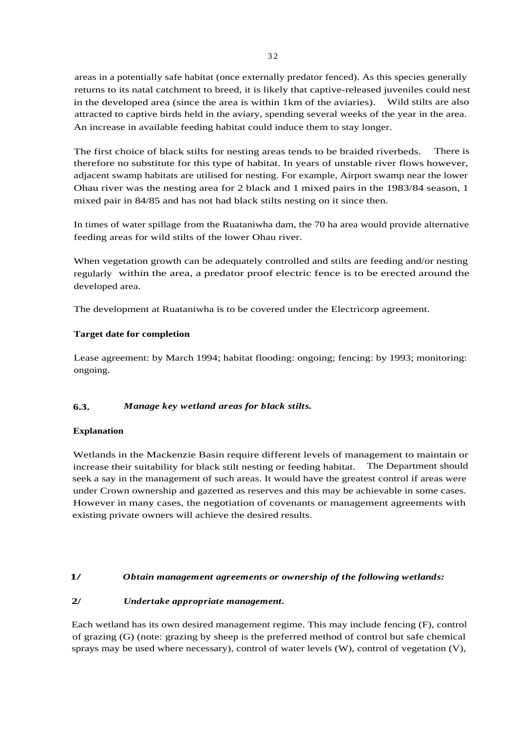areas in a potentially safe habitat (once externally predator fenced). As this species generally returns to its natal catchment to breed, it is likely that captive-released juveniles could nest in the developed area (since the area is within 1km of the aviaries). Wild stilts are also attracted to captive birds held in the aviary, spending several weeks of the year in the area. An increase in available feeding habitat could induce them to stay longer.

The first choice of black stilts for nesting areas tends to be braided riverbeds. There is therefore no substitute for this type of habitat. In years of unstable river flows however, adjacent swamp habitats are utilised for nesting. For example, Airport swamp near the lower Ohau river was the nesting area for 2 black and 1 mixed pairs in the 1983/84 season, 1 mixed pair in 84/85 and has not had black stilts nesting on it since then.

In times of water spillage from the Ruataniwha dam, the 70 ha area would provide alternative feeding areas for wild stilts of the lower Ohau river.

When vegetation growth can be adequately controlled and stilts are feeding and/or nesting regularly within the area, a predator proof electric fence is to be erected around the developed area.

The development at Ruataniwha is to be covered under the Electricorp agreement.

# **Target date for completion**

Lease agreement: by March 1994; habitat flooding: ongoing; fencing: by 1993; monitoring: ongoing.

# **6.3.** *Manage key wetland areas for black stilts.*

# **Explanation**

Wetlands in the Mackenzie Basin require different levels of management to maintain or increase their suitability for black stilt nesting or feeding habitat. The Department should seek a say in the management of such areas. It would have the greatest control if areas were under Crown ownership and gazetted as reserves and this may be achievable in some cases. However in many cases, the negotiation of covenants or management agreements with existing private owners will achieve the desired results.

# **1/** *Obtain management agreements or ownership of the following wetlands:*

# **2/** *Undertake appropriate management.*

Each wetland has its own desired management regime. This may include fencing (F), control of grazing (G) (note: grazing by sheep is the preferred method of control but safe chemical sprays may be used where necessary), control of water levels (W), control of vegetation (V),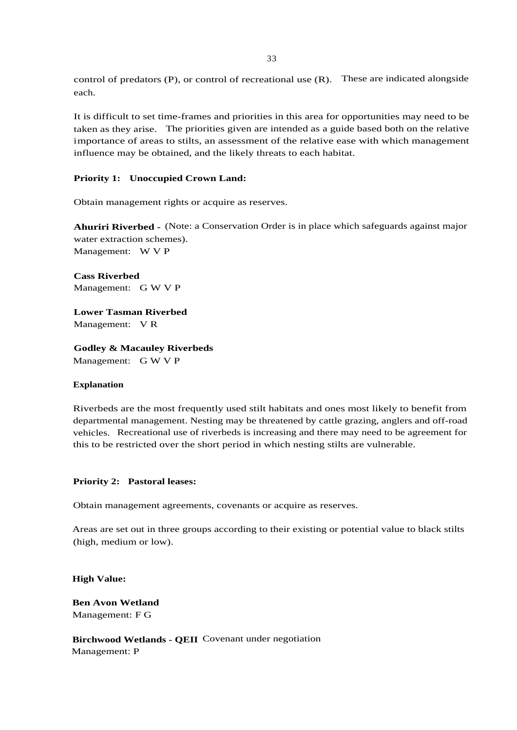control of predators (P), or control of recreational use (R). These are indicated alongside each.

It is difficult to set time-frames and priorities in this area for opportunities may need to be taken as they arise. The priorities given are intended as a guide based both on the relative importance of areas to stilts, an assessment of the relative ease with which management influence may be obtained, and the likely threats to each habitat.

#### **Priority 1: Unoccupied Crown Land:**

Obtain management rights or acquire as reserves.

**Ahuriri Riverbed -** (Note: a Conservation Order is in place which safeguards against major water extraction schemes). Management: W V P

**Cass Riverbed** Management: G W V P

**Lower Tasman Riverbed** Management: V R

**Godley & Macauley Riverbeds** Management: G W V P

#### **Explanation**

Riverbeds are the most frequently used stilt habitats and ones most likely to benefit from departmental management. Nesting may be threatened by cattle grazing, anglers and off-road vehicles. Recreational use of riverbeds is increasing and there may need to be agreement for this to be restricted over the short period in which nesting stilts are vulnerable.

#### **Priority 2: Pastoral leases:**

Obtain management agreements, covenants or acquire as reserves.

Areas are set out in three groups according to their existing or potential value to black stilts (high, medium or low).

**High Value:**

**Ben Avon Wetland** Management: F G

**Birchwood Wetlands - QEII** Covenant under negotiation Management: P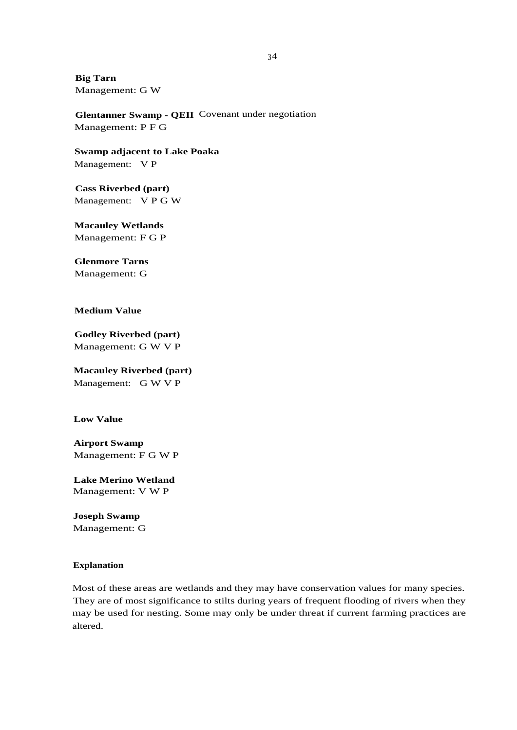**Big Tarn** Management: G W

**Glentanner Swamp - QEII** Covenant under negotiation Management: P F G

**Swamp adjacent to Lake Poaka** Management: V P

**Cass Riverbed (part)** Management: V P G W

**Macauley Wetlands** Management: F G P

**Glenmore Tarns**

Management: G

**Medium Value**

**Godley Riverbed (part)** Management: G W V P

**Macauley Riverbed (part)** Management: G W V P

**Low Value**

**Airport Swamp** Management: F G W P

**Lake Merino Wetland** Management: V W P

**Joseph Swamp** Management: G

# **Explanation**

Most of these areas are wetlands and they may have conservation values for many species. They are of most significance to stilts during years of frequent flooding of rivers when they may be used for nesting. Some may only be under threat if current farming practices are altered.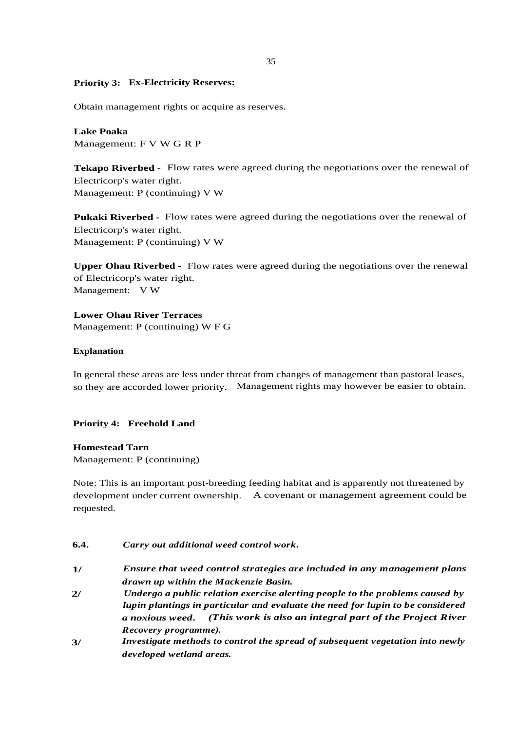#### **Priority 3: Ex-Electricity Reserves:**

Obtain management rights or acquire as reserves.

**Lake Poaka** Management: F V W G R P

**Tekapo Riverbed -** Flow rates were agreed during the negotiations over the renewal of Electricorp's water right. Management: P (continuing) V W

**Pukaki Riverbed -** Flow rates were agreed during the negotiations over the renewal of Electricorp's water right. Management: P (continuing) V W

**Upper Ohau Riverbed -** Flow rates were agreed during the negotiations over the renewal of Electricorp's water right. Management: V W

**Lower Ohau River Terraces** Management: P (continuing) W F G

#### **Explanation**

In general these areas are less under threat from changes of management than pastoral leases, so they are accorded lower priority. Management rights may however be easier to obtain.

#### **Priority 4: Freehold Land**

#### **Homestead Tarn**

Management: P (continuing)

Note: This is an important post-breeding feeding habitat and is apparently not threatened by development under current ownership. A covenant or management agreement could be requested.

# **6.4.** *Carry out additional weed control work.*

- **1/** *Ensure that weed control strategies are included in any management plans drawn up within the Mackenzie Basin.*
- **2/** *Undergo a public relation exercise alerting people to the problems caused by lupin plantings in particular and evaluate the need for lupin to be considered a noxious weed. (This work is also an integral part of the Project River Recovery programme).*
- **3/** *Investigate methods to control the spread of subsequent vegetation into newly developed wetland areas.*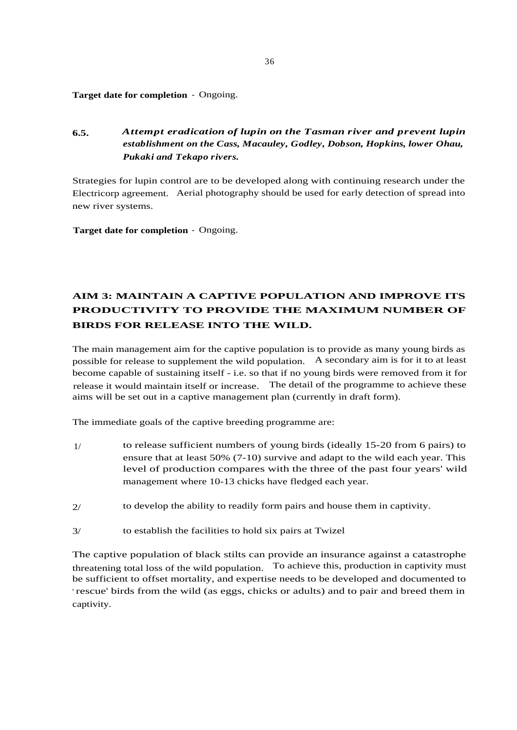**Target date for completion** - Ongoing.

**6.5.** *Attempt eradication of lupin on the Tasman river and prevent lupin establishment on the Cass, Macauley, Godley, Dobson, Hopkins, lower Ohau, Pukaki and Tekapo rivers.*

Strategies for lupin control are to be developed along with continuing research under the Electricorp agreement. Aerial photography should be used for early detection of spread into new river systems.

**Target date for completion** - Ongoing.

# **AIM 3: MAINTAIN A CAPTIVE POPULATION AND IMPROVE ITS PRODUCTIVITY TO PROVIDE THE MAXIMUM NUMBER OF BIRDS FOR RELEASE INTO THE WILD.**

The main management aim for the captive population is to provide as many young birds as possible for release to supplement the wild population. A secondary aim is for it to at least become capable of sustaining itself - i.e. so that if no young birds were removed from it for release it would maintain itself or increase. The detail of the programme to achieve these aims will be set out in a captive management plan (currently in draft form).

The immediate goals of the captive breeding programme are:

- 1/ to release sufficient numbers of young birds (ideally 15-20 from 6 pairs) to ensure that at least 50% (7-10) survive and adapt to the wild each year. This level of production compares with the three of the past four years' wild management where 10-13 chicks have fledged each year.
- 2/ to develop the ability to readily form pairs and house them in captivity.
- 3/ to establish the facilities to hold six pairs at Twizel

The captive population of black stilts can provide an insurance against a catastrophe threatening total loss of the wild population. To achieve this, production in captivity must be sufficient to offset mortality, and expertise needs to be developed and documented to ' rescue' birds from the wild (as eggs, chicks or adults) and to pair and breed them in captivity.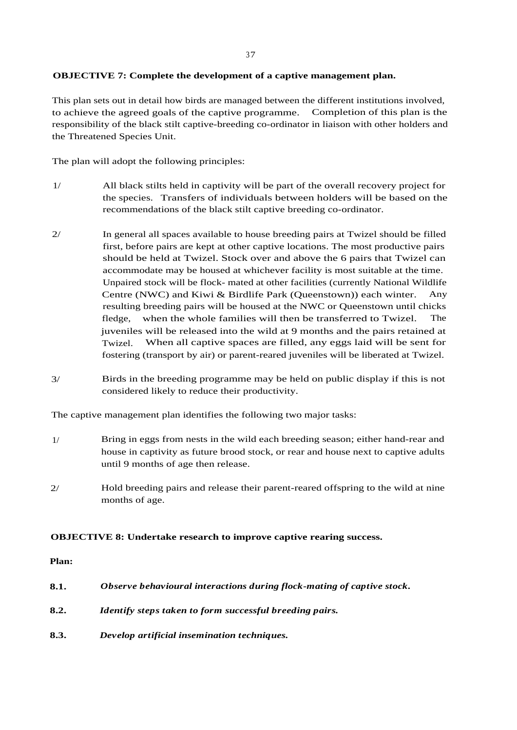# **OBJECTIVE 7: Complete the development of a captive management plan.**

This plan sets out in detail how birds are managed between the different institutions involved, to achieve the agreed goals of the captive programme. Completion of this plan is the responsibility of the black stilt captive-breeding co-ordinator in liaison with other holders and the Threatened Species Unit.

The plan will adopt the following principles:

- 1/ All black stilts held in captivity will be part of the overall recovery project for the species. Transfers of individuals between holders will be based on the recommendations of the black stilt captive breeding co-ordinator.
- 2/ In general all spaces available to house breeding pairs at Twizel should be filled first, before pairs are kept at other captive locations. The most productive pairs should be held at Twizel. Stock over and above the 6 pairs that Twizel can accommodate may be housed at whichever facility is most suitable at the time. Unpaired stock will be flock- mated at other facilities (currently National Wildlife Centre (NWC) and Kiwi & Birdlife Park (Queenstown)) each winter. Any resulting breeding pairs will be housed at the NWC or Queenstown until chicks fledge, when the whole families will then be transferred to Twizel. The juveniles will be released into the wild at 9 months and the pairs retained at Twizel. When all captive spaces are filled, any eggs laid will be sent for fostering (transport by air) or parent-reared juveniles will be liberated at Twizel.
- 3/ Birds in the breeding programme may be held on public display if this is not considered likely to reduce their productivity.

The captive management plan identifies the following two major tasks:

- 1/ Bring in eggs from nests in the wild each breeding season; either hand-rear and house in captivity as future brood stock, or rear and house next to captive adults until 9 months of age then release.
- 2/ Hold breeding pairs and release their parent-reared offspring to the wild at nine months of age.

# **OBJECTIVE 8: Undertake research to improve captive rearing success.**

#### **Plan:**

| 8.1. | Observe behavioural interactions during flock-mating of captive stock. |
|------|------------------------------------------------------------------------|
| 8.2. | <i>Identify steps taken to form successful breeding pairs.</i>         |

**8.3.** *Develop artificial insemination techniques.*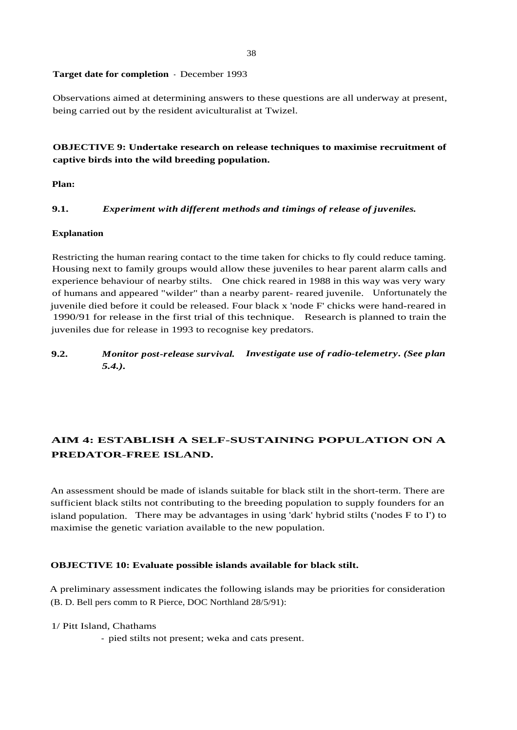#### 38

#### **Target date for completion** - December 1993

Observations aimed at determining answers to these questions are all underway at present, being carried out by the resident aviculturalist at Twizel.

# **OBJECTIVE 9: Undertake research on release techniques to maximise recruitment of captive birds into the wild breeding population.**

**Plan:**

#### **9.1.** *Experiment with different methods and timings of release of juveniles.*

#### **Explanation**

Restricting the human rearing contact to the time taken for chicks to fly could reduce taming. Housing next to family groups would allow these juveniles to hear parent alarm calls and experience behaviour of nearby stilts. One chick reared in 1988 in this way was very wary of humans and appeared "wilder" than a nearby parent- reared juvenile. Unfortunately the juvenile died before it could be released. Four black x 'node F' chicks were hand-reared in 1990/91 for release in the first trial of this technique. Research is planned to train the juveniles due for release in 1993 to recognise key predators.

**9.2.** *Monitor post-release survival. Investigate use of radio-telemetry. (See plan*

# **AIM 4: ESTABLISH A SELF-SUSTAINING POPULATION ON A PREDATOR-FREE ISLAND.**

An assessment should be made of islands suitable for black stilt in the short-term. There are sufficient black stilts not contributing to the breeding population to supply founders for an island population. There may be advantages in using 'dark' hybrid stilts ('nodes F to I') to maximise the genetic variation available to the new population.

# **OBJECTIVE 10: Evaluate possible islands available for black stilt.**

A preliminary assessment indicates the following islands may be priorities for consideration (B. D. Bell pers comm to R Pierce, DOC Northland 28/5/91):

#### 1/ Pitt Island, Chathams

*5.4.).*

- pied stilts not present; weka and cats present.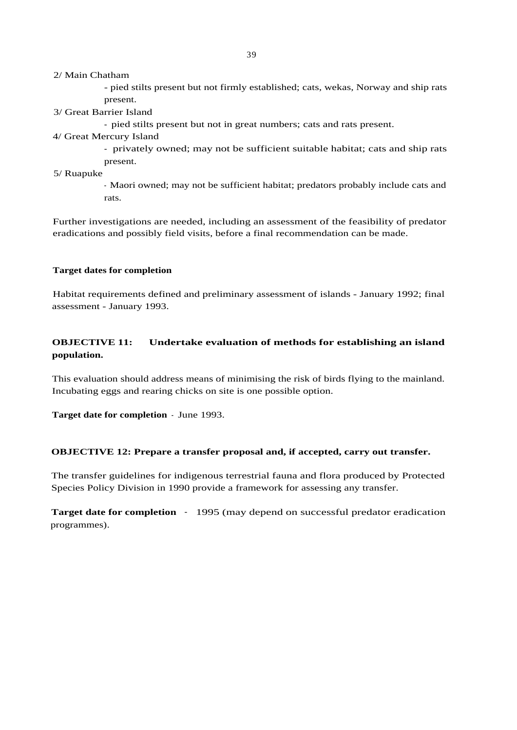#### 2/ Main Chatham

- pied stilts present but not firmly established; cats, wekas, Norway and ship rats present.

3/ Great Barrier Island

- pied stilts present but not in great numbers; cats and rats present.

4/ Great Mercury Island

- privately owned; may not be sufficient suitable habitat; cats and ship rats present.

5/ Ruapuke

- Maori owned; may not be sufficient habitat; predators probably include cats and rats.

Further investigations are needed, including an assessment of the feasibility of predator eradications and possibly field visits, before a final recommendation can be made.

#### **Target dates for completion**

Habitat requirements defined and preliminary assessment of islands - January 1992; final assessment - January 1993.

# **OBJECTIVE 11: Undertake evaluation of methods for establishing an island population.**

This evaluation should address means of minimising the risk of birds flying to the mainland. Incubating eggs and rearing chicks on site is one possible option.

**Target date for completion** - June 1993.

# **OBJECTIVE 12: Prepare a transfer proposal and, if accepted, carry out transfer.**

The transfer guidelines for indigenous terrestrial fauna and flora produced by Protected Species Policy Division in 1990 provide a framework for assessing any transfer.

**Target date for completion** - 1995 (may depend on successful predator eradication programmes).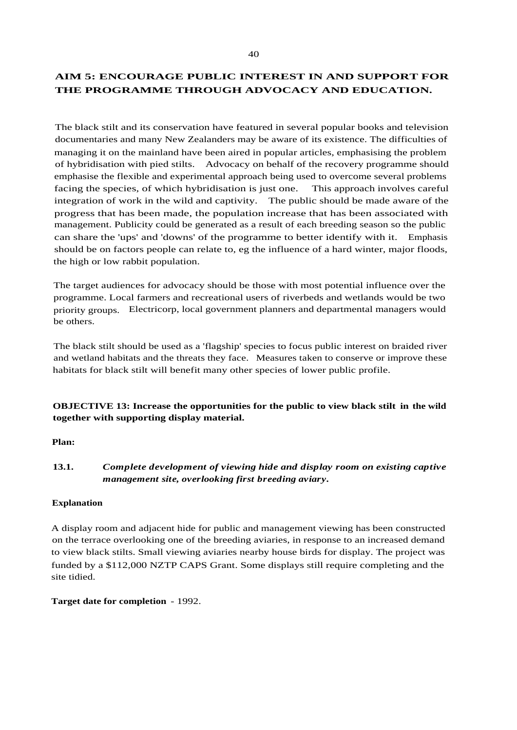# **AIM 5: ENCOURAGE PUBLIC INTEREST IN AND SUPPORT FOR THE PROGRAMME THROUGH ADVOCACY AND EDUCATION.**

The black stilt and its conservation have featured in several popular books and television documentaries and many New Zealanders may be aware of its existence. The difficulties of managing it on the mainland have been aired in popular articles, emphasising the problem of hybridisation with pied stilts. Advocacy on behalf of the recovery programme should emphasise the flexible and experimental approach being used to overcome several problems facing the species, of which hybridisation is just one. This approach involves careful integration of work in the wild and captivity. The public should be made aware of the progress that has been made, the population increase that has been associated with management. Publicity could be generated as a result of each breeding season so the public can share the 'ups' and 'downs' of the programme to better identify with it. Emphasis should be on factors people can relate to, eg the influence of a hard winter, major floods, the high or low rabbit population.

The target audiences for advocacy should be those with most potential influence over the programme. Local farmers and recreational users of riverbeds and wetlands would be two priority groups. Electricorp, local government planners and departmental managers would be others.

The black stilt should be used as a 'flagship' species to focus public interest on braided river and wetland habitats and the threats they face. Measures taken to conserve or improve these habitats for black stilt will benefit many other species of lower public profile.

# **OBJECTIVE 13: Increase the opportunities for the public to view black stilt in the wild together with supporting display material.**

# **Plan:**

# **13.1.** *Complete development of viewing hide and display room on existing captive management site, overlooking first breeding aviary.*

# **Explanation**

A display room and adjacent hide for public and management viewing has been constructed on the terrace overlooking one of the breeding aviaries, in response to an increased demand to view black stilts. Small viewing aviaries nearby house birds for display. The project was funded by a \$112,000 NZTP CAPS Grant. Some displays still require completing and the site tidied.

**Target date for completion** - 1992.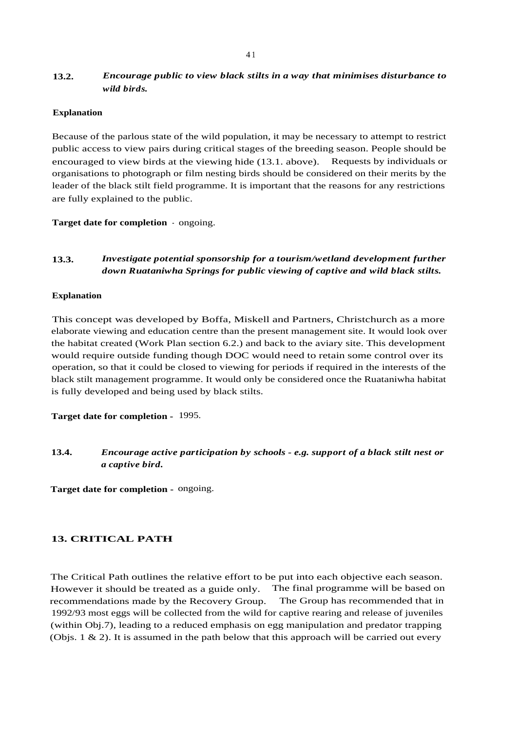# **13.2.** *Encourage public to view black stilts in a way that minimises disturbance to wild birds.*

#### **Explanation**

Because of the parlous state of the wild population, it may be necessary to attempt to restrict public access to view pairs during critical stages of the breeding season. People should be encouraged to view birds at the viewing hide (13.1. above). Requests by individuals or organisations to photograph or film nesting birds should be considered on their merits by the leader of the black stilt field programme. It is important that the reasons for any restrictions are fully explained to the public.

**Target date for completion** - ongoing.

# **13.3.** *Investigate potential sponsorship for a tourism/wetland development further down Ruataniwha Springs for public viewing of captive and wild black stilts.*

#### **Explanation**

This concept was developed by Boffa, Miskell and Partners, Christchurch as a more elaborate viewing and education centre than the present management site. It would look over the habitat created (Work Plan section 6.2.) and back to the aviary site. This development would require outside funding though DOC would need to retain some control over its operation, so that it could be closed to viewing for periods if required in the interests of the black stilt management programme. It would only be considered once the Ruataniwha habitat is fully developed and being used by black stilts.

**Target date for completion -** 1995.

**13.4.** *Encourage active participation by schools - e.g. support of a black stilt nest or a captive bird.*

**Target date for completion -** ongoing.

# **13. CRITICAL PATH**

The Critical Path outlines the relative effort to be put into each objective each season. However it should be treated as a guide only. The final programme will be based on recommendations made by the Recovery Group. The Group has recommended that in 1992/93 most eggs will be collected from the wild for captive rearing and release of juveniles (within Obj.7), leading to a reduced emphasis on egg manipulation and predator trapping (Objs.  $1 \& 2$ ). It is assumed in the path below that this approach will be carried out every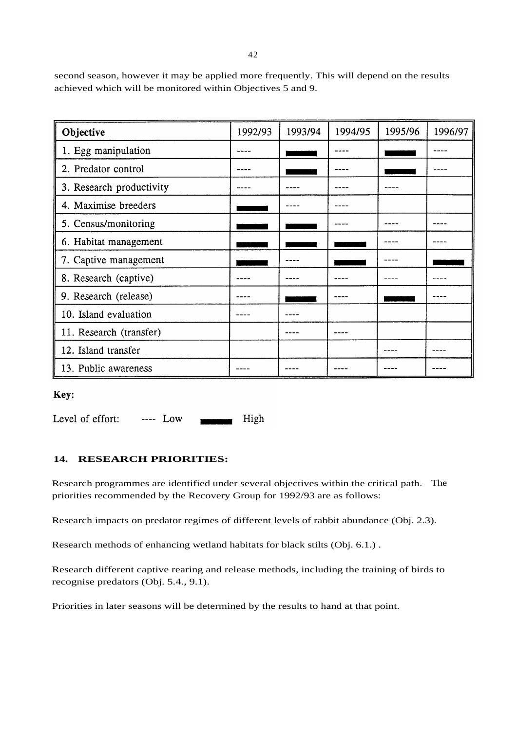second season, however it may be applied more frequently. This will depend on the results achieved which will be monitored within Objectives 5 and 9.

| Objective                | 1992/93 | 1993/94 | 1994/95 | 1995/96 | 1996/97 |
|--------------------------|---------|---------|---------|---------|---------|
| 1. Egg manipulation      |         |         |         |         |         |
| 2. Predator control      |         |         |         |         |         |
| 3. Research productivity |         |         |         |         |         |
| 4. Maximise breeders     |         |         |         |         |         |
| 5. Census/monitoring     |         |         |         |         |         |
| 6. Habitat management    |         |         |         |         |         |
| 7. Captive management    |         |         |         |         |         |
| 8. Research (captive)    |         |         |         |         |         |
| 9. Research (release)    |         |         |         |         |         |
| 10. Island evaluation    |         |         |         |         |         |
| 11. Research (transfer)  |         |         |         |         |         |
| 12. Island transfer      |         |         |         |         |         |
| 13. Public awareness     |         |         |         |         |         |

Key:

Level of effort:  $--- Low$ High

# **14. RESEARCH PRIORITIES:**

Research programmes are identified under several objectives within the critical path. The priorities recommended by the Recovery Group for 1992/93 are as follows:

Research impacts on predator regimes of different levels of rabbit abundance (Obj. 2.3).

Research methods of enhancing wetland habitats for black stilts (Obj. 6.1.) .

Research different captive rearing and release methods, including the training of birds to recognise predators (Obj. 5.4., 9.1).

Priorities in later seasons will be determined by the results to hand at that point.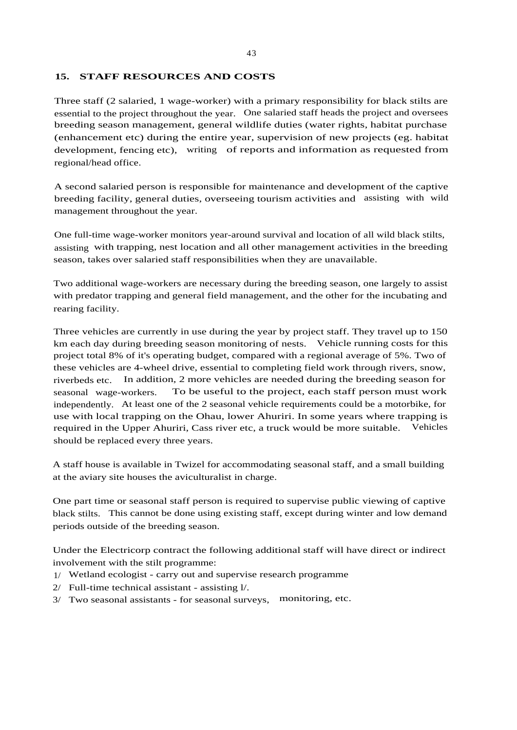# **15. STAFF RESOURCES AND COSTS**

Three staff (2 salaried, 1 wage-worker) with a primary responsibility for black stilts are essential to the project throughout the year. One salaried staff heads the project and oversees breeding season management, general wildlife duties (water rights, habitat purchase (enhancement etc) during the entire year, supervision of new projects (eg. habitat development, fencing etc), writing of reports and information as requested from regional/head office.

A second salaried person is responsible for maintenance and development of the captive breeding facility, general duties, overseeing tourism activities and assisting with wild management throughout the year.

One full-time wage-worker monitors year-around survival and location of all wild black stilts, assisting with trapping, nest location and all other management activities in the breeding season, takes over salaried staff responsibilities when they are unavailable.

Two additional wage-workers are necessary during the breeding season, one largely to assist with predator trapping and general field management, and the other for the incubating and rearing facility.

Three vehicles are currently in use during the year by project staff. They travel up to 150 km each day during breeding season monitoring of nests. Vehicle running costs for this project total 8% of it's operating budget, compared with a regional average of 5%. Two of these vehicles are 4-wheel drive, essential to completing field work through rivers, snow, riverbeds etc. In addition, 2 more vehicles are needed during the breeding season for seasonal wage-workers. To be useful to the project, each staff person must work independently. At least one of the 2 seasonal vehicle requirements could be a motorbike, for use with local trapping on the Ohau, lower Ahuriri. In some years where trapping is required in the Upper Ahuriri, Cass river etc, a truck would be more suitable. Vehicles should be replaced every three years.

A staff house is available in Twizel for accommodating seasonal staff, and a small building at the aviary site houses the aviculturalist in charge.

One part time or seasonal staff person is required to supervise public viewing of captive black stilts. This cannot be done using existing staff, except during winter and low demand periods outside of the breeding season.

Under the Electricorp contract the following additional staff will have direct or indirect involvement with the stilt programme:

- 1/ Wetland ecologist carry out and supervise research programme
- 2/ Full-time technical assistant assisting l/.
- 3/ Two seasonal assistants for seasonal surveys, monitoring, etc.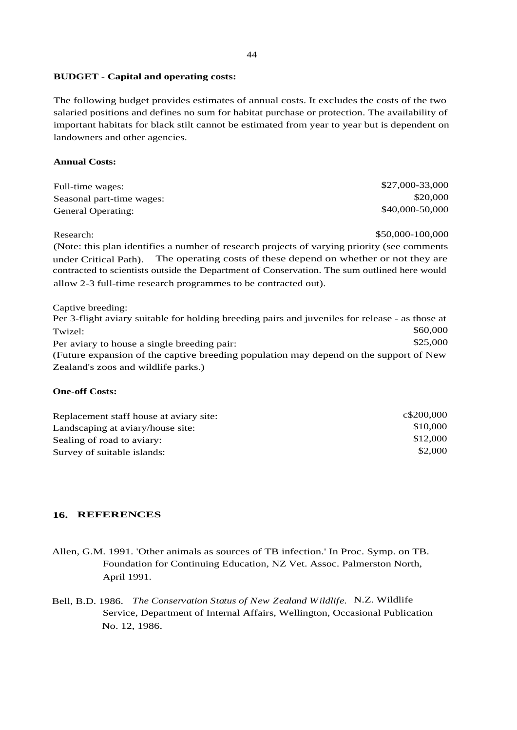#### **BUDGET - Capital and operating costs:**

The following budget provides estimates of annual costs. It excludes the costs of the two salaried positions and defines no sum for habitat purchase or protection. The availability of important habitats for black stilt cannot be estimated from year to year but is dependent on landowners and other agencies.

#### **Annual Costs:**

| Full-time wages:          | \$27,000-33,000 |
|---------------------------|-----------------|
| Seasonal part-time wages: | \$20,000        |
| <b>General Operating:</b> | \$40,000-50,000 |

Research: \$50,000-100,000

(Note: this plan identifies a number of research projects of varying priority (see comments under Critical Path). The operating costs of these depend on whether or not they are contracted to scientists outside the Department of Conservation. The sum outlined here would allow 2-3 full-time research programmes to be contracted out).

Captive breeding: Per 3-flight aviary suitable for holding breeding pairs and juveniles for release - as those at  $Twized:$  \$60,000 Per aviary to house a single breeding pair: \$25,000 (Future expansion of the captive breeding population may depend on the support of New Zealand's zoos and wildlife parks.)

#### **One-off Costs:**

| Replacement staff house at aviary site: | c\$200,000 |
|-----------------------------------------|------------|
| Landscaping at aviary/house site:       | \$10,000   |
| Sealing of road to aviary:              | \$12,000   |
| Survey of suitable islands:             | \$2,000    |

# **16. REFERENCES**

- Allen, G.M. 1991. 'Other animals as sources of TB infection.' In Proc. Symp. on TB. Foundation for Continuing Education, NZ Vet. Assoc. Palmerston North, April 1991.
- Bell, B.D. 1986. *The Conservation Status of New Zealand Wildlife.* N.Z. Wildlife Service, Department of Internal Affairs, Wellington, Occasional Publication No. 12, 1986.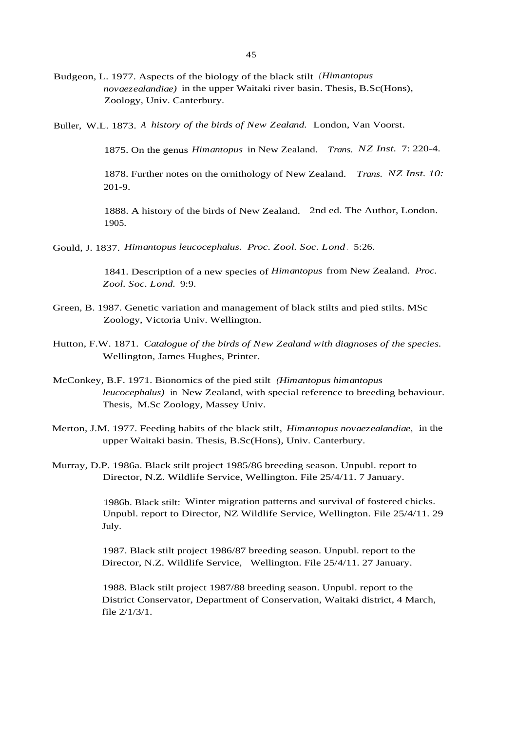Budgeon, L. 1977. Aspects of the biology of the black stilt *(Himantopus novaezealandiae)* in the upper Waitaki river basin. Thesis, B.Sc(Hons), Zoology, Univ. Canterbury.

Buller, W.L. 1873. *<sup>A</sup> history of the birds of New Zealand.* London, Van Voorst.

1875. On the genus *Himantopus* in New Zealand. *Trans. NZ Inst.* 7: 220-4.

1878. Further notes on the ornithology of New Zealand. *Trans. NZ Inst. 10:* 201-9.

1888. A history of the birds of New Zealand. 2nd ed. The Author, London. 1905.

Gould, J. 1837. *Himantopus leucocephalus. Proc. Zool. Soc. Lond* . 5:26.

1841. Description of a new species of *Himantopus* from New Zealand. *Proc. Zool. Soc. Lond.* 9:9.

- Green, B. 1987. Genetic variation and management of black stilts and pied stilts. MSc Zoology, Victoria Univ. Wellington.
- Hutton, F.W. 1871. *Catalogue of the birds of New Zealand with diagnoses of the species.* Wellington, James Hughes, Printer.
- McConkey, B.F. 1971. Bionomics of the pied stilt *(Himantopus himantopus leucocephalus)* in New Zealand, with special reference to breeding behaviour. Thesis, M.Sc Zoology, Massey Univ.
- Merton, J.M. 1977. Feeding habits of the black stilt, *Himantopus novaezealandiae,* in the upper Waitaki basin. Thesis, B.Sc(Hons), Univ. Canterbury.
- Murray, D.P. 1986a. Black stilt project 1985/86 breeding season. Unpubl. report to Director, N.Z. Wildlife Service, Wellington. File 25/4/11. 7 January.

1986b. Black stilt: Winter migration patterns and survival of fostered chicks. Unpubl. report to Director, NZ Wildlife Service, Wellington. File 25/4/11. 29 July.

1987. Black stilt project 1986/87 breeding season. Unpubl. report to the Director, N.Z. Wildlife Service, Wellington. File 25/4/11. 27 January.

1988. Black stilt project 1987/88 breeding season. Unpubl. report to the District Conservator, Department of Conservation, Waitaki district, 4 March, file 2/1/3/1.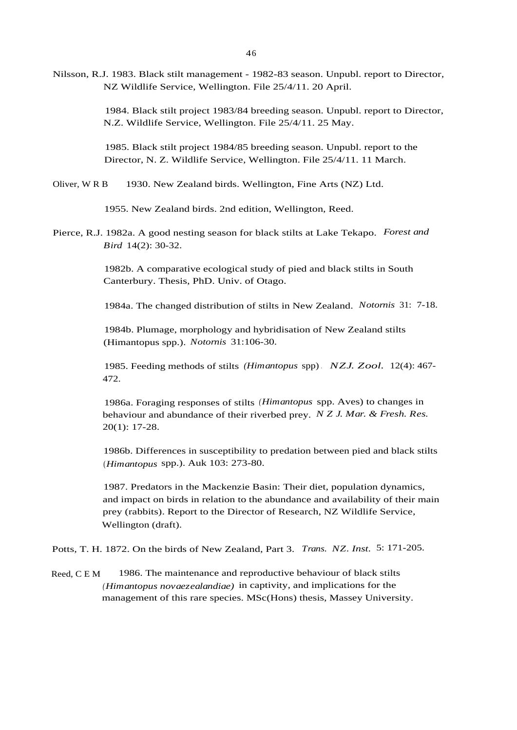1984. Black stilt project 1983/84 breeding season. Unpubl. report to Director, N.Z. Wildlife Service, Wellington. File 25/4/11. 25 May.

1985. Black stilt project 1984/85 breeding season. Unpubl. report to the Director, N. Z. Wildlife Service, Wellington. File 25/4/11. 11 March.

Oliver, W R B 1930. New Zealand birds. Wellington, Fine Arts (NZ) Ltd.

1955. New Zealand birds. 2nd edition, Wellington, Reed.

Pierce, R.J. 1982a. A good nesting season for black stilts at Lake Tekapo. *Forest and Bird* 14(2): 30-32.

> 1982b. A comparative ecological study of pied and black stilts in South Canterbury. Thesis, PhD. Univ. of Otago.

1984a. The changed distribution of stilts in New Zealand. *Notornis* 31: 7-18.

1984b. Plumage, morphology and hybridisation of New Zealand stilts (Himantopus spp.). *Notornis* 31:106-30.

1985. Feeding methods of stilts *(Himantopus* spp) *. NZJ. Zool.* 12(4): 467- 472.

1986a. Foraging responses of stilts *(Himantopus* spp. Aves) to changes in behaviour and abundance of their riverbed prey. *N Z J. Mar. & Fresh. Res.* 20(1): 17-28.

1986b. Differences in susceptibility to predation between pied and black stilts (*Himantopus* spp.). Auk 103: 273-80.

1987. Predators in the Mackenzie Basin: Their diet, population dynamics, and impact on birds in relation to the abundance and availability of their main prey (rabbits). Report to the Director of Research, NZ Wildlife Service, Wellington (draft).

Potts, T. H. 1872. On the birds of New Zealand, Part 3. *Trans. NZ. Inst.* 5: 171-205.

Reed, C E M 1986. The maintenance and reproductive behaviour of black stilts *(Himantopus novaezealandiae)* in captivity, and implications for the management of this rare species. MSc(Hons) thesis, Massey University.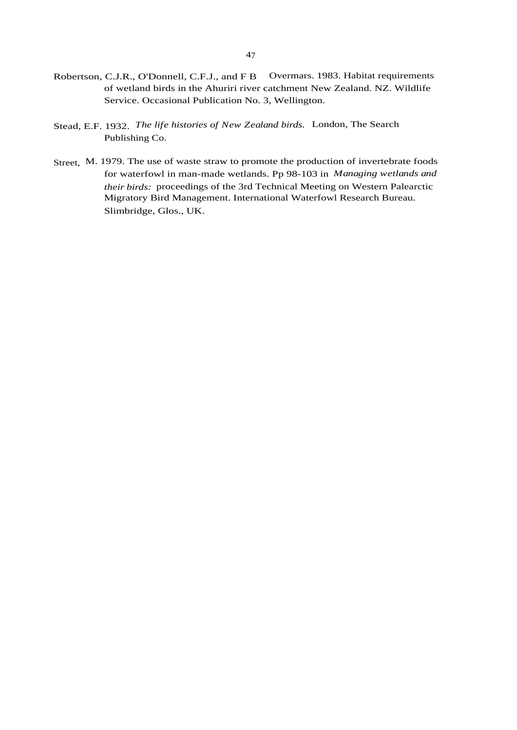- of wetland birds in the Ahuriri river catchment New Zealand. NZ. Wildlife Service. Occasional Publication No. 3, Wellington.
- Stead, E.F. 1932. *The life histories of New Zealand birds.* London, The Search Publishing Co.
- Street, M. 1979. The use of waste straw to promote the production of invertebrate foods for waterfowl in man-made wetlands. Pp 98-103 in *Managing wetlands and their birds:* proceedings of the 3rd Technical Meeting on Western Palearctic Migratory Bird Management. International Waterfowl Research Bureau. Slimbridge, Glos., UK.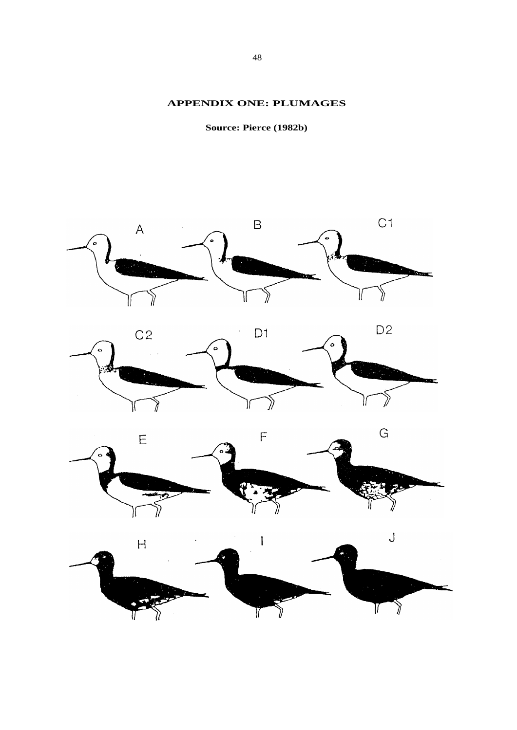# **APPENDIX ONE: PLUMAGES**

**Source: Pierce (1982b)**

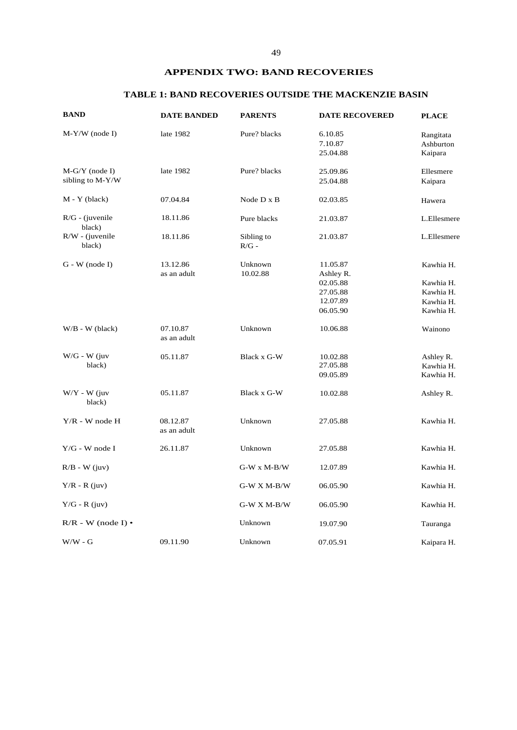# **APPENDIX TWO: BAND RECOVERIES**

# **TABLE 1: BAND RECOVERIES OUTSIDE THE MACKENZIE BASIN**

| <b>BAND</b>                  | <b>DATE BANDED</b>      | <b>PARENTS</b>         | <b>DATE RECOVERED</b> | <b>PLACE</b>           |
|------------------------------|-------------------------|------------------------|-----------------------|------------------------|
| $M-Y/W$ (node I)             | late 1982               | Pure? blacks           | 6.10.85<br>7.10.87    | Rangitata<br>Ashburton |
|                              |                         |                        | 25.04.88              | Kaipara                |
| $M-G/Y$ (node I)             | late 1982               | Pure? blacks           | 25.09.86              | Ellesmere              |
| sibling to M-Y/W             |                         |                        | 25.04.88              | Kaipara                |
| $M - Y$ (black)              | 07.04.84                | Node D x B             | 02.03.85              | Hawera                 |
| $R/G$ - (juvenile<br>black)  | 18.11.86                | Pure blacks            | 21.03.87              | L.Ellesmere            |
| $R/W$ - (juvenile<br>black)  | 18.11.86                | Sibling to<br>$R/G$ -  | 21.03.87              | L.Ellesmere            |
| $G - W$ (node I)             | 13.12.86                | Unknown                | 11.05.87              | Kawhia H.              |
|                              | as an adult             | 10.02.88               | Ashley R.             |                        |
|                              |                         |                        | 02.05.88              | Kawhia H.              |
|                              |                         |                        | 27.05.88              | Kawhia H.              |
|                              |                         |                        | 12.07.89              | Kawhia H.              |
|                              |                         |                        | 06.05.90              | Kawhia H.              |
| $W/B - W$ (black)            | 07.10.87<br>as an adult | Unknown                | 10.06.88              | Wainono                |
| $W/G - W$ (juv               | 05.11.87                | Black x G-W            | 10.02.88              | Ashley R.              |
| black)                       |                         |                        | 27.05.88              | Kawhia H.              |
|                              |                         |                        | 09.05.89              | Kawhia H.              |
| $W/Y$ - W (juv<br>black)     | 05.11.87                | Black x G-W            | 10.02.88              | Ashley R.              |
| $Y/R$ - W node H             | 08.12.87<br>as an adult | Unknown                | 27.05.88              | Kawhia H.              |
| $Y/G$ - W node I             | 26.11.87                | Unknown                | 27.05.88              | Kawhia H.              |
| $R/B - W$ (juv)              |                         | $G-W$ x $M\text{-}B/W$ | 12.07.89              | Kawhia H.              |
| $Y/R - R$ (juv)              |                         | $G-W X M-B/W$          | 06.05.90              | Kawhia H.              |
| $Y/G - R$ (juv)              |                         | $G-W X M-B/W$          | 06.05.90              | Kawhia H.              |
| $R/R$ - W (node I) $\bullet$ |                         | Unknown                | 19.07.90              | Tauranga               |
| $W/W - G$                    | 09.11.90                | Unknown                | 07.05.91              | Kaipara H.             |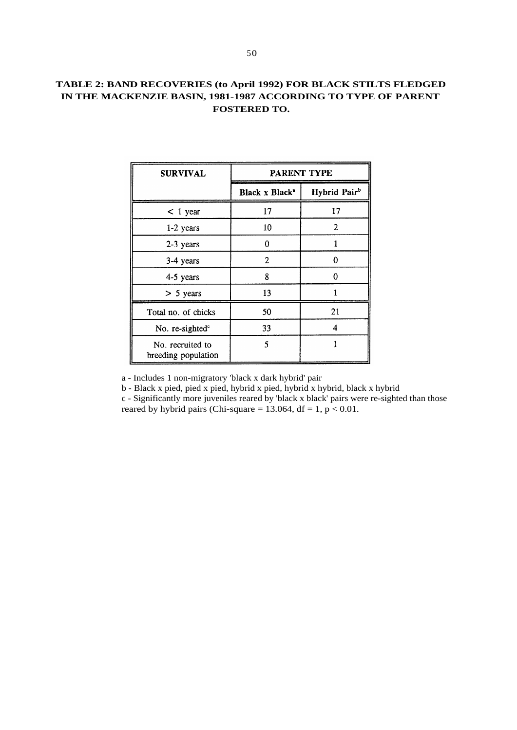# **TABLE 2: BAND RECOVERIES (to April 1992) FOR BLACK STILTS FLEDGED IN THE MACKENZIE BASIN, 1981-1987 ACCORDING TO TYPE OF PARENT FOSTERED TO.**

| <b>SURVIVAL</b>                         | PARENT TYPE                |                          |  |  |  |
|-----------------------------------------|----------------------------|--------------------------|--|--|--|
|                                         | Black x Black <sup>a</sup> | Hybrid Pair <sup>b</sup> |  |  |  |
| $<$ 1 year                              | 17                         | 17                       |  |  |  |
| $1-2$ years                             | 10                         | $\overline{2}$           |  |  |  |
| 2-3 years                               | 0                          |                          |  |  |  |
| 3-4 years                               | 2                          | 0                        |  |  |  |
| 4-5 years                               | 8                          | 0                        |  |  |  |
| $> 5$ years                             | 13                         |                          |  |  |  |
| Total no. of chicks                     | 50                         | 21                       |  |  |  |
| No. re-sighted <sup>c</sup>             | 33                         | 4                        |  |  |  |
| No. recruited to<br>breeding population | 5                          |                          |  |  |  |

a - Includes 1 non-migratory 'black x dark hybrid' pair

b - Black x pied, pied x pied, hybrid x pied, hybrid x hybrid, black x hybrid

c - Significantly more juveniles reared by 'black x black' pairs were re-sighted than those reared by hybrid pairs (Chi-square = 13.064, df = 1,  $p < 0.01$ .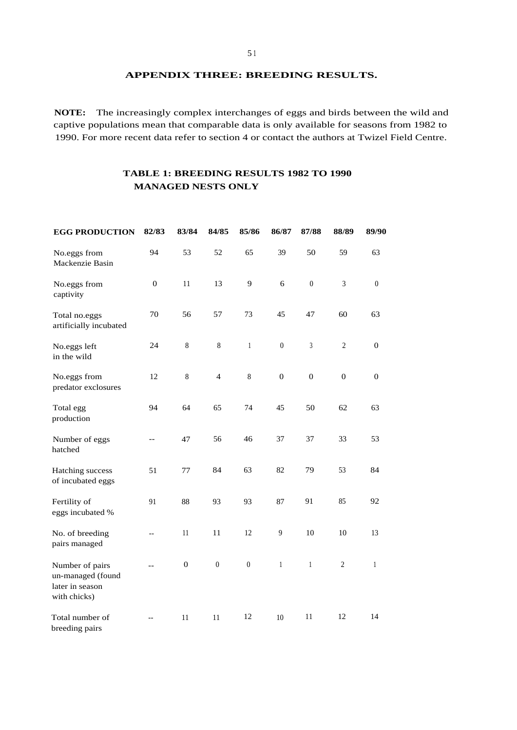**APPENDIX THREE: BREEDING RESULTS.**

**NOTE:** The increasingly complex interchanges of eggs and birds between the wild and captive populations mean that comparable data is only available for seasons from 1982 to 1990. For more recent data refer to section 4 or contact the authors at Twizel Field Centre.

# **TABLE 1: BREEDING RESULTS 1982 TO 1990 MANAGED NESTS ONLY**

| <b>EGG PRODUCTION</b>                                                   | 82/83            | 83/84        | 84/85          | 85/86          | 86/87            | 87/88            | 88/89            | 89/90            |
|-------------------------------------------------------------------------|------------------|--------------|----------------|----------------|------------------|------------------|------------------|------------------|
| No.eggs from<br>Mackenzie Basin                                         | 94               | 53           | 52             | 65             | 39               | 50               | 59               | 63               |
| No.eggs from<br>captivity                                               | $\boldsymbol{0}$ | 11           | 13             | 9              | 6                | $\boldsymbol{0}$ | $\mathfrak{Z}$   | $\boldsymbol{0}$ |
| Total no.eggs<br>artificially incubated                                 | 70               | 56           | 57             | 73             | 45               | 47               | 60               | 63               |
| No.eggs left<br>in the wild                                             | 24               | $\,8\,$      | $\,8\,$        | $\mathbf{1}$   | $\boldsymbol{0}$ | $\mathfrak{Z}$   | $\sqrt{2}$       | $\boldsymbol{0}$ |
| No.eggs from<br>predator exclosures                                     | 12               | $\, 8$       | $\overline{4}$ | $\, 8$         | $\boldsymbol{0}$ | $\boldsymbol{0}$ | $\boldsymbol{0}$ | $\boldsymbol{0}$ |
| Total egg<br>production                                                 | 94               | 64           | 65             | 74             | 45               | 50               | 62               | 63               |
| Number of eggs<br>hatched                                               | --               | 47           | 56             | 46             | 37               | 37               | 33               | 53               |
| Hatching success<br>of incubated eggs                                   | 51               | 77           | 84             | 63             | 82               | 79               | 53               | 84               |
| Fertility of<br>eggs incubated %                                        | 91               | 88           | 93             | 93             | 87               | 91               | 85               | 92               |
| No. of breeding<br>pairs managed                                        | --               | 11           | 11             | 12             | 9                | 10               | 10               | 13               |
| Number of pairs<br>un-managed (found<br>later in season<br>with chicks) |                  | $\mathbf{0}$ | $\overline{0}$ | $\overline{0}$ | 1                | $\overline{1}$   | $\overline{2}$   | 1                |
| Total number of<br>breeding pairs                                       | --               | 11           | 11             | 12             | 10               | 11               | 12               | 14               |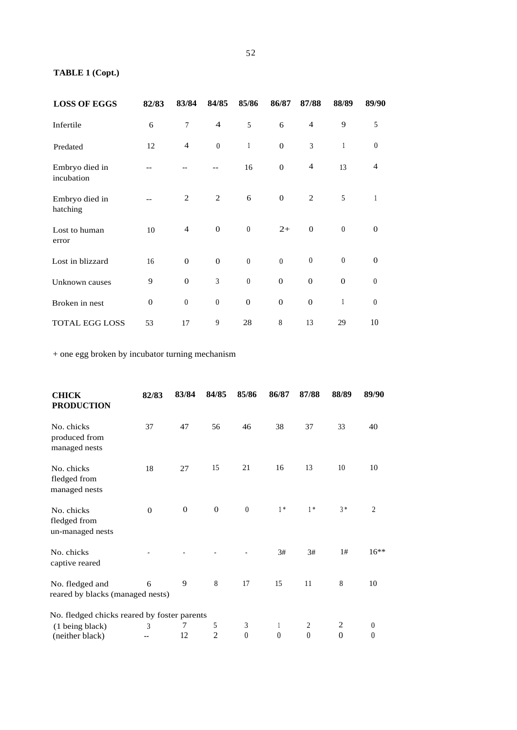# **TABLE 1 (Copt.)**

| <b>LOSS OF EGGS</b>          | 82/83        | 83/84            | 84/85            | 85/86            | 86/87            | 87/88            | 88/89            | 89/90            |
|------------------------------|--------------|------------------|------------------|------------------|------------------|------------------|------------------|------------------|
| Infertile                    | 6            | $\overline{7}$   | $\overline{4}$   | 5                | 6                | $\overline{4}$   | 9                | 5                |
| Predated                     | 12           | $\overline{4}$   | $\boldsymbol{0}$ | $\mathbf{1}$     | $\boldsymbol{0}$ | 3                | $\mathbf{1}$     | $\boldsymbol{0}$ |
| Embryo died in<br>incubation |              |                  |                  | 16               | $\overline{0}$   | $\overline{4}$   | 13               | 4                |
| Embryo died in<br>hatching   |              | $\overline{2}$   | $\mathfrak{2}$   | 6                | $\theta$         | $\mathfrak{2}$   | 5                | 1                |
| Lost to human<br>error       | 10           | $\overline{4}$   | $\mathbf{0}$     | $\boldsymbol{0}$ | $2+$             | $\mathbf{0}$     | $\boldsymbol{0}$ | $\theta$         |
| Lost in blizzard             | 16           | $\overline{0}$   | $\mathbf{0}$     | $\boldsymbol{0}$ | $\boldsymbol{0}$ | $\boldsymbol{0}$ | $\boldsymbol{0}$ | $\mathbf{0}$     |
| Unknown causes               | 9            | $\overline{0}$   | 3                | $\boldsymbol{0}$ | $\overline{0}$   | $\mathbf{0}$     | $\mathbf{0}$     | $\boldsymbol{0}$ |
| Broken in nest               | $\mathbf{0}$ | $\boldsymbol{0}$ | $\boldsymbol{0}$ | $\overline{0}$   | $\overline{0}$   | $\overline{0}$   | 1                | $\boldsymbol{0}$ |
| <b>TOTAL EGG LOSS</b>        | 53           | 17               | 9                | 28               | $8\,$            | 13               | 29               | 10               |

+ one egg broken by incubator turning mechanism

| <b>CHICK</b><br><b>PRODUCTION</b>                   | 82/83          | 83/84        | 84/85               | 85/86                 | 86/87                          | 87/88                            | 88/89                            | 89/90                        |
|-----------------------------------------------------|----------------|--------------|---------------------|-----------------------|--------------------------------|----------------------------------|----------------------------------|------------------------------|
| No. chicks<br>produced from<br>managed nests        | 37             | 47           | 56                  | 46                    | 38                             | 37                               | 33                               | 40                           |
| No. chicks<br>fledged from<br>managed nests         | 18             | 27           | 15                  | 21                    | 16                             | 13                               | 10                               | 10                           |
| No. chicks<br>fledged from<br>un-managed nests      | $\overline{0}$ | $\mathbf{0}$ | $\overline{0}$      | $\boldsymbol{0}$      | $1*$                           | $1*$                             | $3 *$                            | $\overline{2}$               |
| No. chicks<br>captive reared                        |                |              |                     |                       | 3#                             | 3#                               | 1#                               | $16***$                      |
| No. fledged and<br>reared by blacks (managed nests) | 6              | 9            | $\,8\,$             | 17                    | 15                             | 11                               | 8                                | 10                           |
| No. fledged chicks reared by foster parents         |                |              |                     |                       |                                |                                  |                                  |                              |
| (1 being black)<br>(neither black)                  | 3              | 7<br>12      | 5<br>$\overline{2}$ | 3<br>$\boldsymbol{0}$ | $\mathbf{1}$<br>$\overline{0}$ | $\overline{2}$<br>$\overline{0}$ | $\overline{2}$<br>$\overline{0}$ | $\boldsymbol{0}$<br>$\theta$ |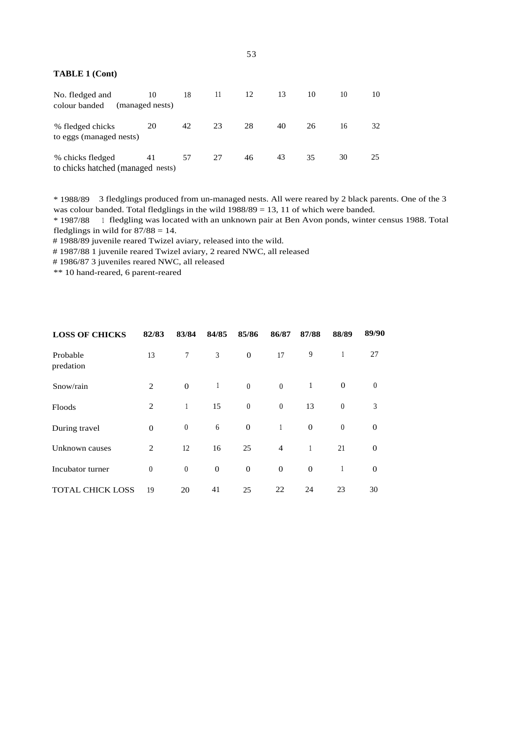#### **TABLE 1 (Cont)**

| No. fledged and<br>colour banded                      | 10<br>(managed nests) | 18 | 11 | 12 | 13 | 10 | 10 | 10 |
|-------------------------------------------------------|-----------------------|----|----|----|----|----|----|----|
| % fledged chicks<br>to eggs (managed nests)           | 20                    | 42 | 23 | 28 | 40 | 26 | 16 | 32 |
| % chicks fledged<br>to chicks hatched (managed nests) | 41                    | 57 | 27 | 46 | 43 | 35 | 30 | 25 |

\* 1988/89 3 fledglings produced from un-managed nests. All were reared by 2 black parents. One of the 3 was colour banded. Total fledglings in the wild 1988/89 = 13, 11 of which were banded.

\* 1987/88 <sup>1</sup> fledgling was located with an unknown pair at Ben Avon ponds, winter census 1988. Total fledglings in wild for  $87/88 = 14$ .

# 1988/89 juvenile reared Twizel aviary, released into the wild.

# 1987/88 1 juvenile reared Twizel aviary, 2 reared NWC, all released

# 1986/87 3 juveniles reared NWC, all released

\*\* 10 hand-reared, 6 parent-reared

| <b>LOSS OF CHICKS</b>   | 82/83            | 83/84            | 84/85        | 85/86            | 86/87            | 87/88            | 88/89            | 89/90            |
|-------------------------|------------------|------------------|--------------|------------------|------------------|------------------|------------------|------------------|
| Probable<br>predation   | 13               | $\boldsymbol{7}$ | 3            | $\mathbf{0}$     | 17               | 9                | 1                | 27               |
| Snow/rain               | $\overline{2}$   | $\boldsymbol{0}$ | $\mathbf{1}$ | $\boldsymbol{0}$ | $\theta$         | $\mathbf{1}$     | $\boldsymbol{0}$ | $\boldsymbol{0}$ |
| Floods                  | $\overline{2}$   | $\mathbf{1}$     | 15           | $\boldsymbol{0}$ | $\boldsymbol{0}$ | 13               | $\boldsymbol{0}$ | 3                |
| During travel           | $\overline{0}$   | $\boldsymbol{0}$ | 6            | $\boldsymbol{0}$ | 1                | $\boldsymbol{0}$ | $\boldsymbol{0}$ | $\mathbf 0$      |
| Unknown causes          | $\overline{2}$   | 12               | 16           | 25               | $\overline{4}$   |                  | 21               | $\boldsymbol{0}$ |
| Incubator turner        | $\boldsymbol{0}$ | $\boldsymbol{0}$ | $\mathbf{0}$ | $\overline{0}$   | $\overline{0}$   | $\mathbf{0}$     |                  | $\boldsymbol{0}$ |
| <b>TOTAL CHICK LOSS</b> | 19               | 20               | 41           | 25               | 22               | 24               | 23               | 30               |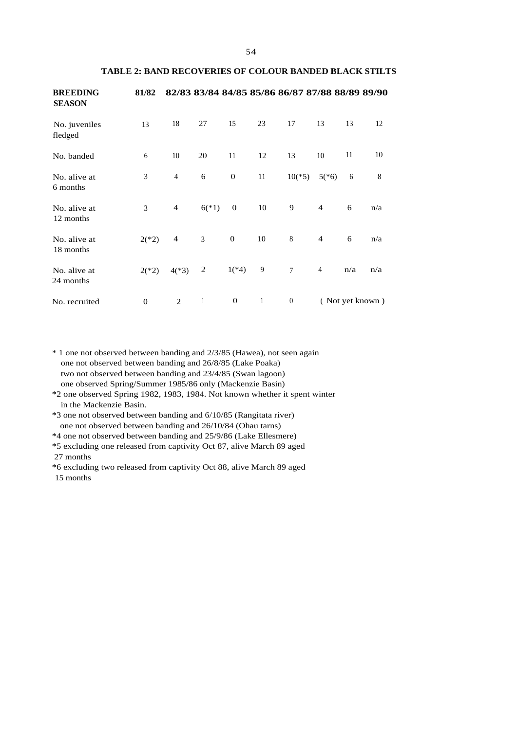| I<br>۰.<br>٠<br>× | . . |
|-------------------|-----|
|                   |     |

#### **TABLE 2: BAND RECOVERIES OF COLOUR BANDED BLACK STILTS**

| <b>BREEDING</b><br><b>SEASON</b> | 81/82            |                          |                |                  |              | 82/83 83/84 84/85 85/86 86/87 87/88 88/89 89/90 |                |                 |     |
|----------------------------------|------------------|--------------------------|----------------|------------------|--------------|-------------------------------------------------|----------------|-----------------|-----|
| No. juveniles<br>fledged         | 13               | 18                       | 27             | 15               | 23           | 17                                              | 13             | 13              | 12  |
| No. banded                       | 6                | 10                       | 20             | 11               | 12           | 13                                              | 10             | 11              | 10  |
| No. alive at<br>6 months         | 3                | $\overline{4}$           | 6              | $\boldsymbol{0}$ | 11           | $10(*5)$                                        | $5(*)$         | 6               | 8   |
| No. alive at<br>12 months        | 3                | $\overline{4}$           | $6(*)$         | $\mathbf{0}$     | 10           | 9                                               | $\overline{4}$ | 6               | n/a |
| No. alive at<br>18 months        | $2(*)2)$         | $\overline{\mathcal{A}}$ | 3              | $\boldsymbol{0}$ | 10           | 8                                               | $\overline{4}$ | 6               | n/a |
| No. alive at<br>24 months        | $2(*)2)$         | $4(*3)$                  | $\overline{2}$ | $1(*4)$          | 9            | $7\phantom{.0}$                                 | $\overline{4}$ | n/a             | n/a |
| No. recruited                    | $\boldsymbol{0}$ | $\overline{2}$           | $\mathbf{1}$   | $\boldsymbol{0}$ | $\mathbf{1}$ | $\boldsymbol{0}$                                |                | (Not yet known) |     |

\* 1 one not observed between banding and 2/3/85 (Hawea), not seen again one not observed between banding and 26/8/85 (Lake Poaka) two not observed between banding and 23/4/85 (Swan lagoon) one observed Spring/Summer 1985/86 only (Mackenzie Basin)

\*2 one observed Spring 1982, 1983, 1984. Not known whether it spent winter in the Mackenzie Basin.

\*3 one not observed between banding and 6/10/85 (Rangitata river) one not observed between banding and 26/10/84 (Ohau tarns)

\*4 one not observed between banding and 25/9/86 (Lake Ellesmere)

\*5 excluding one released from captivity Oct 87, alive March 89 aged 27 months

\*6 excluding two released from captivity Oct 88, alive March 89 aged 15 months